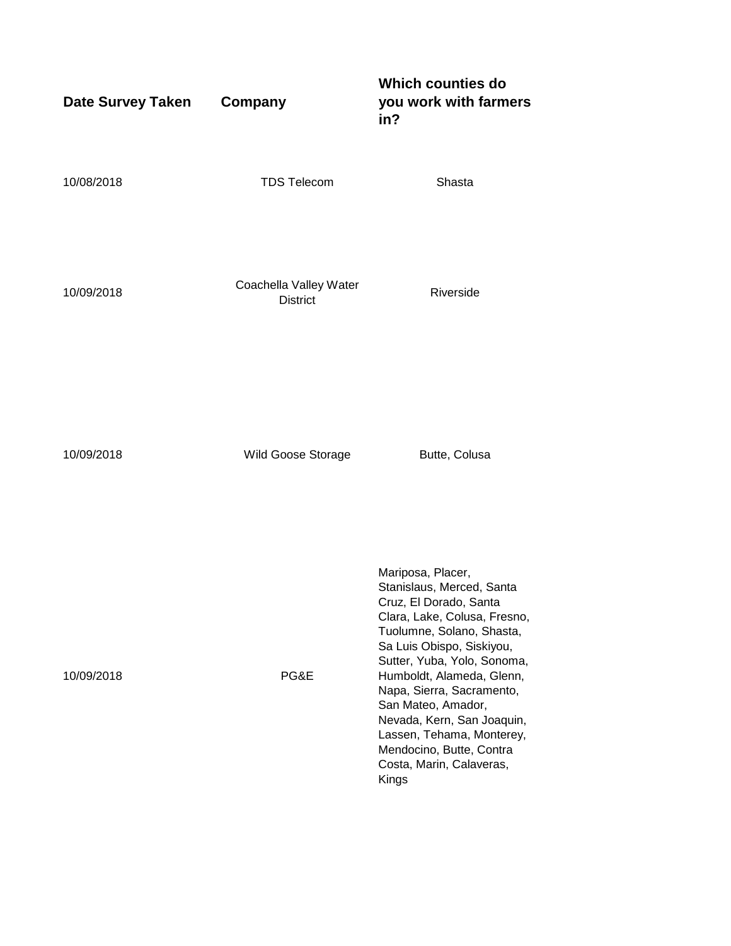| <b>Date Survey Taken</b> | Company                                   | <b>Which counties do</b><br>you work with farmers<br>in?                                                                                                                                                                                                                                                                                                                                                             |
|--------------------------|-------------------------------------------|----------------------------------------------------------------------------------------------------------------------------------------------------------------------------------------------------------------------------------------------------------------------------------------------------------------------------------------------------------------------------------------------------------------------|
| 10/08/2018               | <b>TDS Telecom</b>                        | Shasta                                                                                                                                                                                                                                                                                                                                                                                                               |
| 10/09/2018               | Coachella Valley Water<br><b>District</b> | Riverside                                                                                                                                                                                                                                                                                                                                                                                                            |
| 10/09/2018               | Wild Goose Storage                        | Butte, Colusa                                                                                                                                                                                                                                                                                                                                                                                                        |
| 10/09/2018               | PG&E                                      | Mariposa, Placer,<br>Stanislaus, Merced, Santa<br>Cruz, El Dorado, Santa<br>Clara, Lake, Colusa, Fresno,<br>Tuolumne, Solano, Shasta,<br>Sa Luis Obispo, Siskiyou,<br>Sutter, Yuba, Yolo, Sonoma,<br>Humboldt, Alameda, Glenn,<br>Napa, Sierra, Sacramento,<br>San Mateo, Amador,<br>Nevada, Kern, San Joaquin,<br>Lassen, Tehama, Monterey,<br>Mendocino, Butte, Contra<br>Costa, Marin, Calaveras,<br><b>Kings</b> |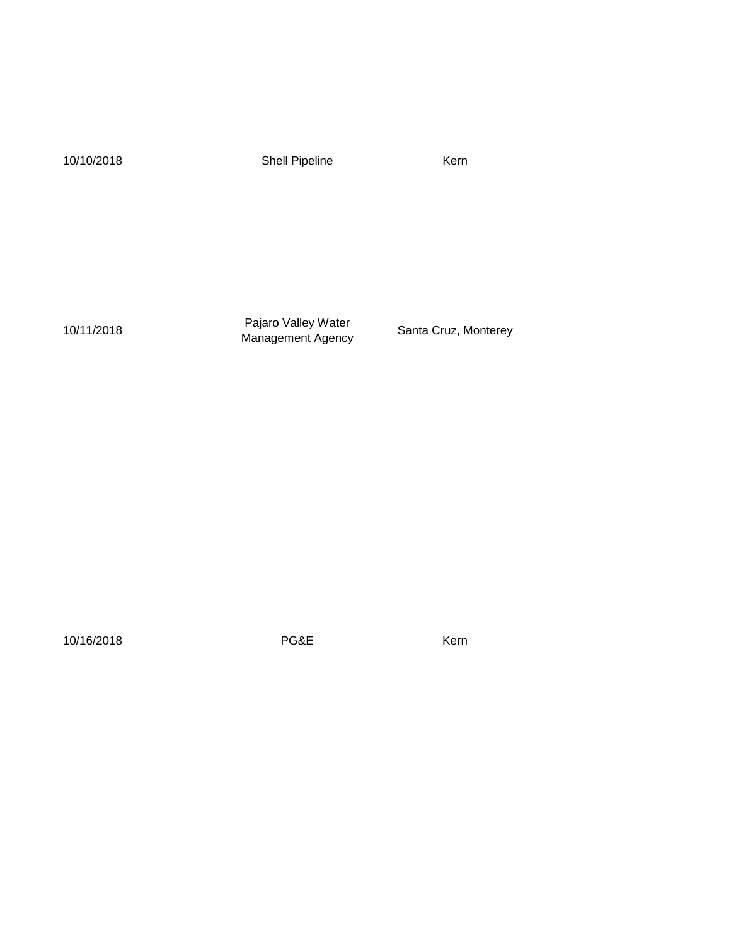10/10/2018 Shell Pipeline Kern

10/11/2018 Pajaro Valley Water Management Agency Santa Cruz, Monterey

10/16/2018 **PG&E** Kern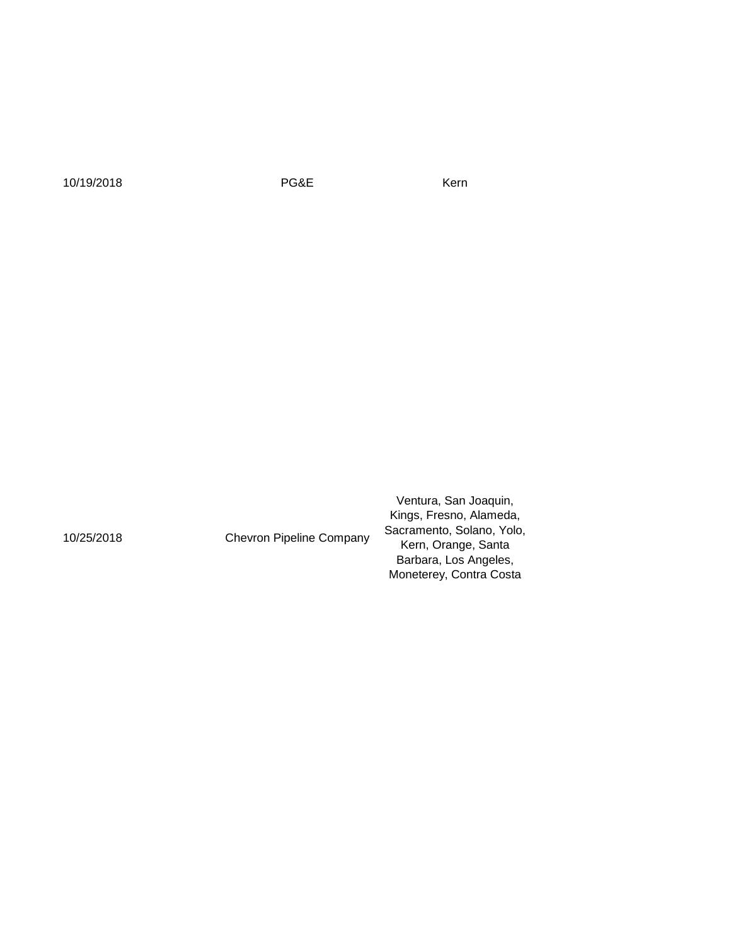10/19/2018 **PG&E** Kern

10/25/2018 Chevron Pipeline Company

Ventura, San Joaquin, Kings, Fresno, Alameda, Sacramento, Solano, Yolo, Kern, Orange, Santa Barbara, Los Angeles, Moneterey, Contra Costa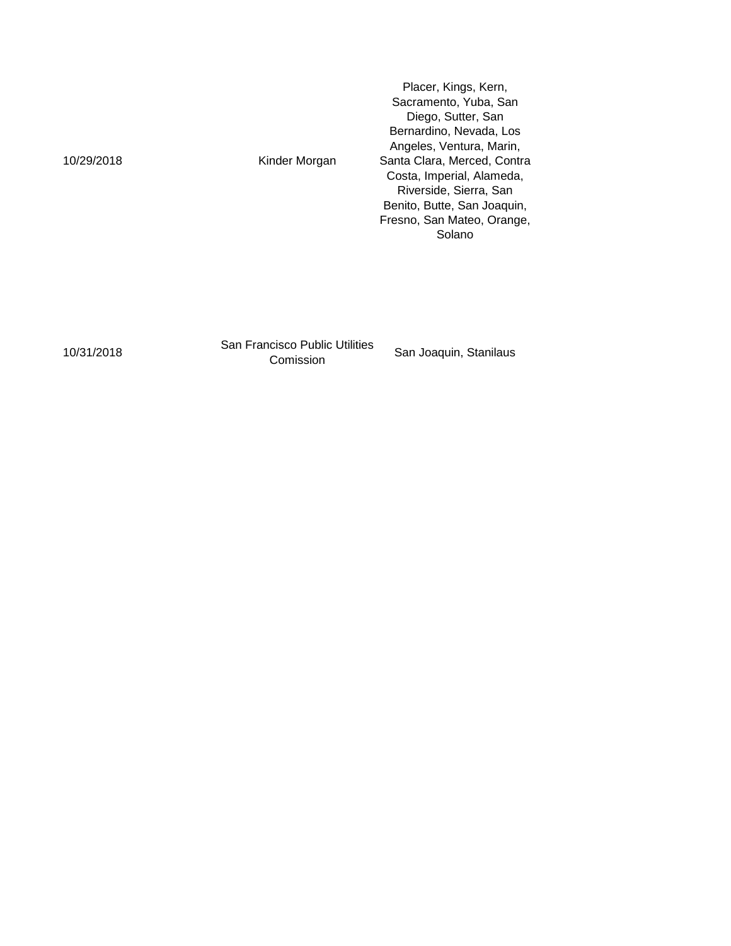|            |               | Placer, Kings, Kern,<br>Sacramento, Yuba, San<br>Diego, Sutter, San<br>Bernardino, Nevada, Los<br>Angeles, Ventura, Marin,                                |
|------------|---------------|-----------------------------------------------------------------------------------------------------------------------------------------------------------|
| 10/29/2018 | Kinder Morgan | Santa Clara, Merced, Contra<br>Costa, Imperial, Alameda,<br>Riverside, Sierra, San<br>Benito, Butte, San Joaquin,<br>Fresno, San Mateo, Orange,<br>Solano |

10/31/2018 San Francisco Public Utilities

San Joaquin, Stanilaus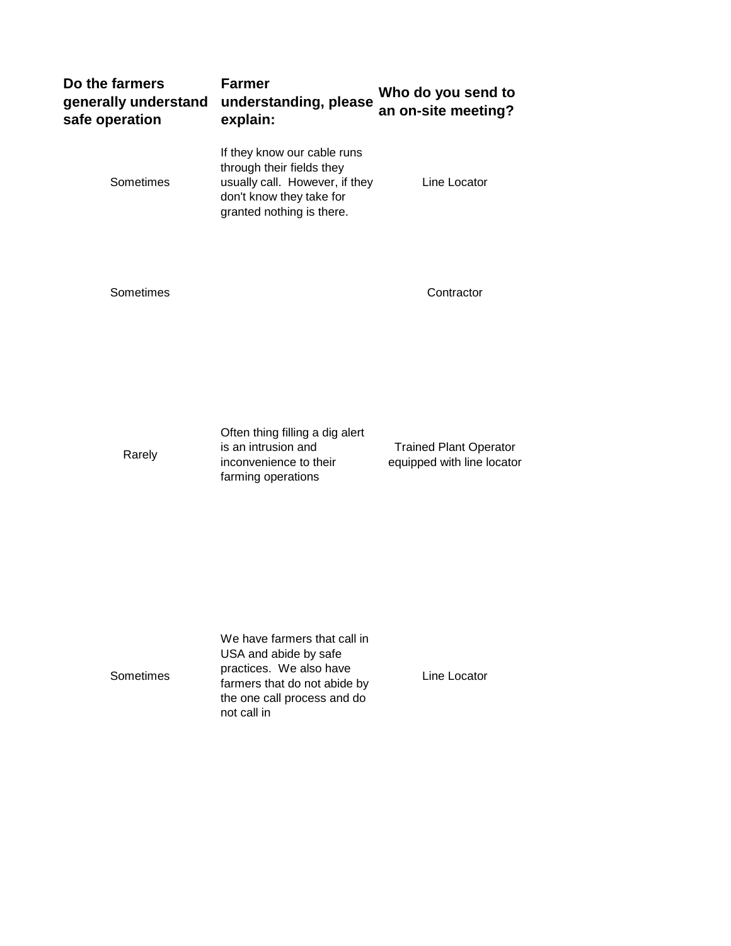| Do the farmers<br>generally understand<br>safe operation | <b>Farmer</b><br>understanding, please<br>explain:                                                                                                  | Who do you send to<br>an on-site meeting? |
|----------------------------------------------------------|-----------------------------------------------------------------------------------------------------------------------------------------------------|-------------------------------------------|
| Sometimes                                                | If they know our cable runs<br>through their fields they<br>usually call. However, if they<br>don't know they take for<br>granted nothing is there. | Line Locator                              |
|                                                          |                                                                                                                                                     |                                           |

Sometimes Contractor

Rarely

Often thing filling a dig alert is an intrusion and inconvenience to their farming operations

Trained Plant Operator equipped with line locator

Sometimes

We have farmers that call in USA and abide by safe practices. We also have farmers that do not abide by the one call process and do not call in

Line Locator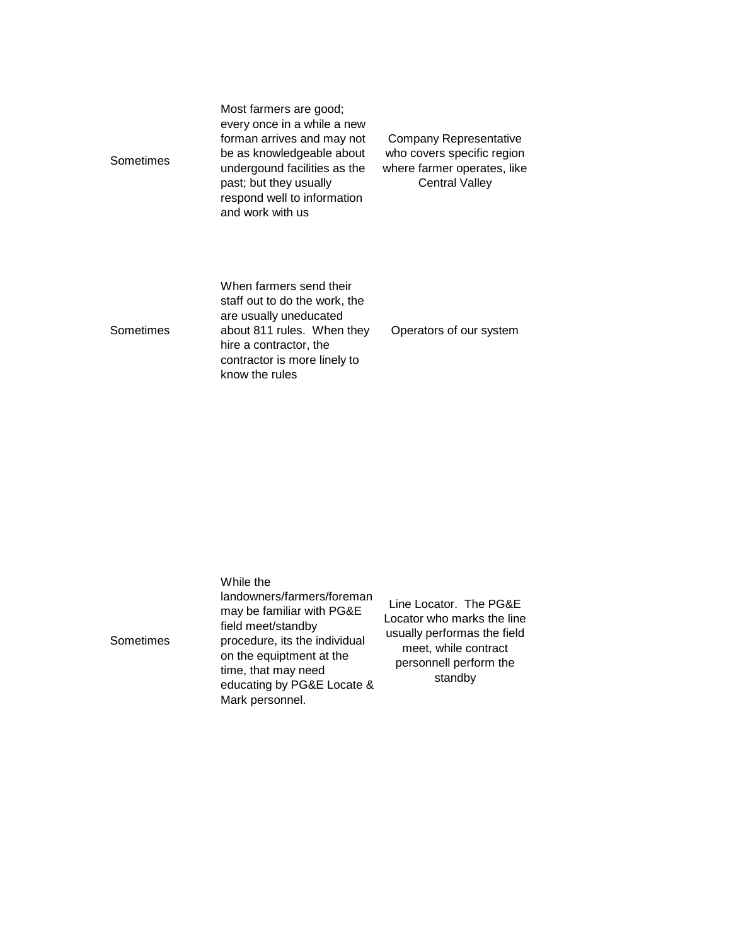| Sometimes | Most farmers are good;<br>every once in a while a new<br>forman arrives and may not<br>be as knowledgeable about<br>undergound facilities as the<br>past; but they usually<br>respond well to information<br>and work with us | Company Representative<br>who covers specific region<br>where farmer operates, like<br><b>Central Valley</b> |
|-----------|-------------------------------------------------------------------------------------------------------------------------------------------------------------------------------------------------------------------------------|--------------------------------------------------------------------------------------------------------------|
| Sometimes | When farmers send their<br>staff out to do the work, the<br>are usually uneducated<br>about 811 rules. When they<br>hire a contractor, the<br>contractor is more linely to                                                    | Operators of our system                                                                                      |

know the rules

| While the<br>landowners/farmers/foreman<br>may be familiar with PG&E<br>field meet/standby<br>procedure, its the individual<br>Sometimes<br>on the equiptment at the<br>time, that may need<br>educating by PG&E Locate &<br>Mark personnel. | Line Locator. The PG&E<br>Locator who marks the line<br>usually performas the field<br>meet, while contract<br>personnell perform the<br>standby |
|----------------------------------------------------------------------------------------------------------------------------------------------------------------------------------------------------------------------------------------------|--------------------------------------------------------------------------------------------------------------------------------------------------|
|----------------------------------------------------------------------------------------------------------------------------------------------------------------------------------------------------------------------------------------------|--------------------------------------------------------------------------------------------------------------------------------------------------|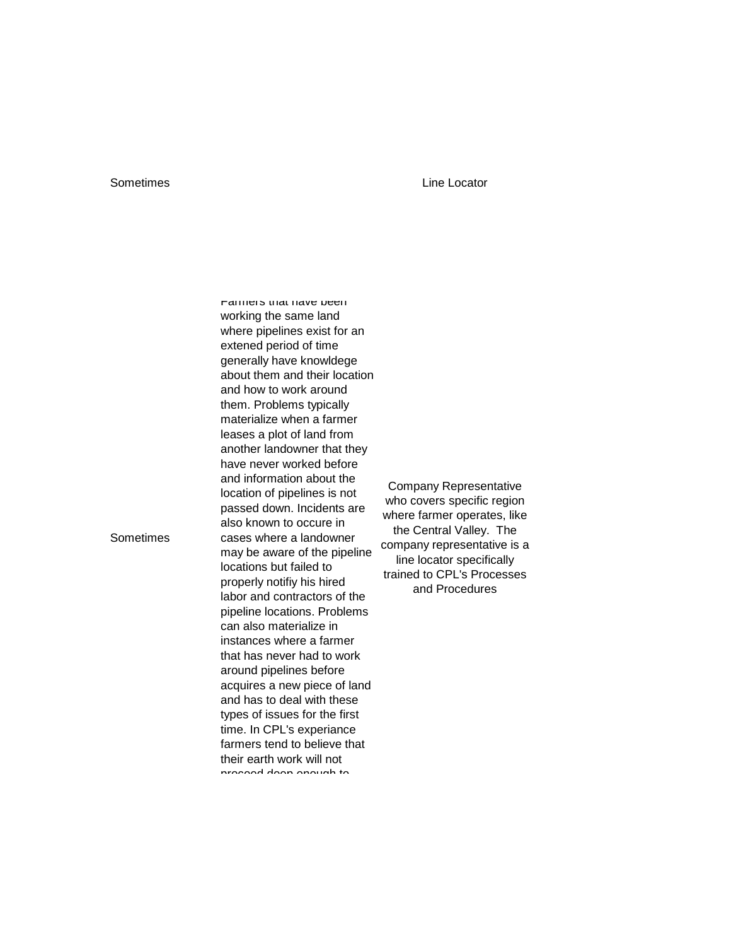## Sometimes **Line Locator**

Farmers that have been working the same land where pipelines exist for an extened period of time generally have knowldege about them and their location and how to work around them. Problems typically materialize when a farmer leases a plot of land from another landowner that they have never worked before and information about the location of pipelines is not passed down. Incidents are also known to occure in cases where a landowner may be aware of the pipeline locations but failed to properly notifiy his hired labor and contractors of the pipeline locations. Problems can also materialize in instances where a farmer that has never had to work around pipelines before acquires a new piece of land and has to deal with these types of issues for the first time. In CPL's experiance farmers tend to believe that their earth work will not proceed deep enough to

Company Representative who covers specific region where farmer operates, like the Central Valley. The company representative is a line locator specifically trained to CPL's Processes and Procedures

Sometimes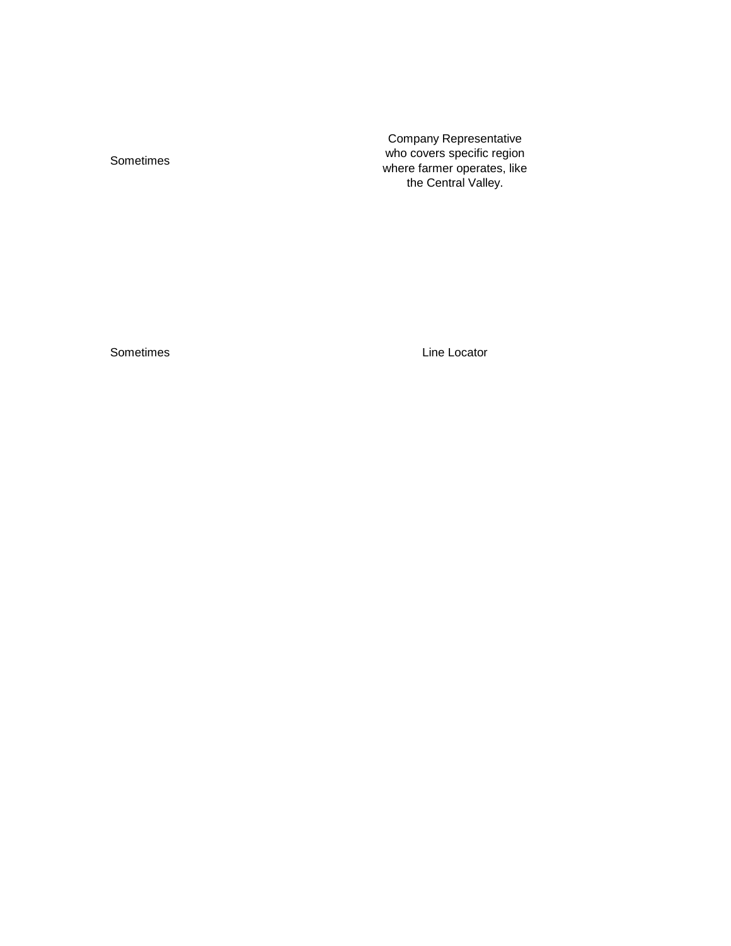Sometimes

Company Representative who covers specific region where farmer operates, like the Central Valley.

Sometimes **Line Locator**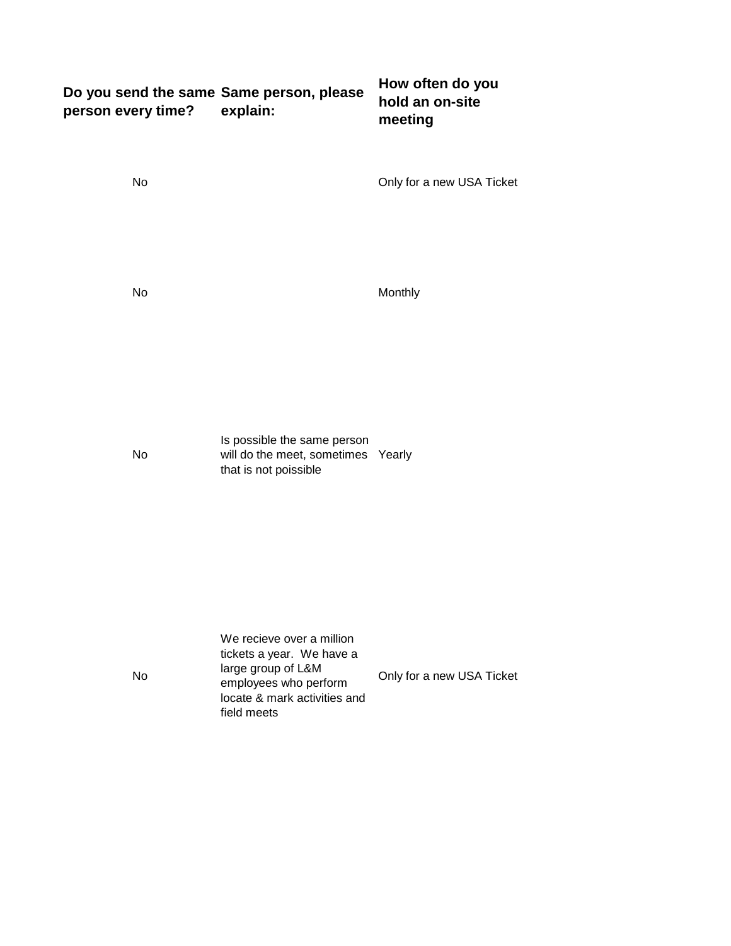| Do you send the same Same person, please<br>person every time? | explain:                                                                                                                              | How often do you<br>hold an on-site<br>meeting |
|----------------------------------------------------------------|---------------------------------------------------------------------------------------------------------------------------------------|------------------------------------------------|
| No                                                             |                                                                                                                                       | Only for a new USA Ticket                      |
| No                                                             |                                                                                                                                       | Monthly                                        |
| No                                                             | Is possible the same person<br>will do the meet, sometimes Yearly<br>that is not poissible                                            |                                                |
| No                                                             | We recieve over a million<br>tickets a year. We have a<br>large group of L&M<br>employees who perform<br>locate & mark activities and | Only for a new USA Ticket                      |

field meets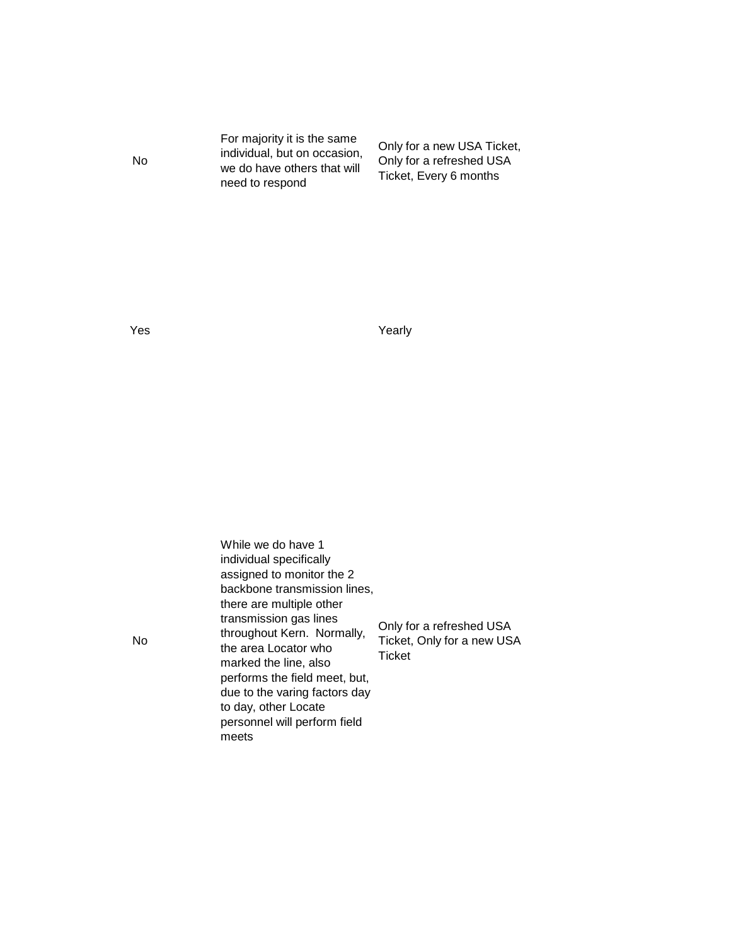For majority it is the same individual, but on occasion, we do have others that will need to respond

Only for a new USA Ticket, Only for a refreshed USA Ticket, Every 6 months

Yes **Yearly** 

While we do have 1 individual specifically assigned to monitor the 2 backbone transmission lines, there are multiple other transmission gas lines throughout Kern. Normally, the area Locator who marked the line, also performs the field meet, but, due to the varing factors day to day, other Locate personnel will perform field meets Only for a refreshed USA Ticket, Only for a new USA **Ticket** 

No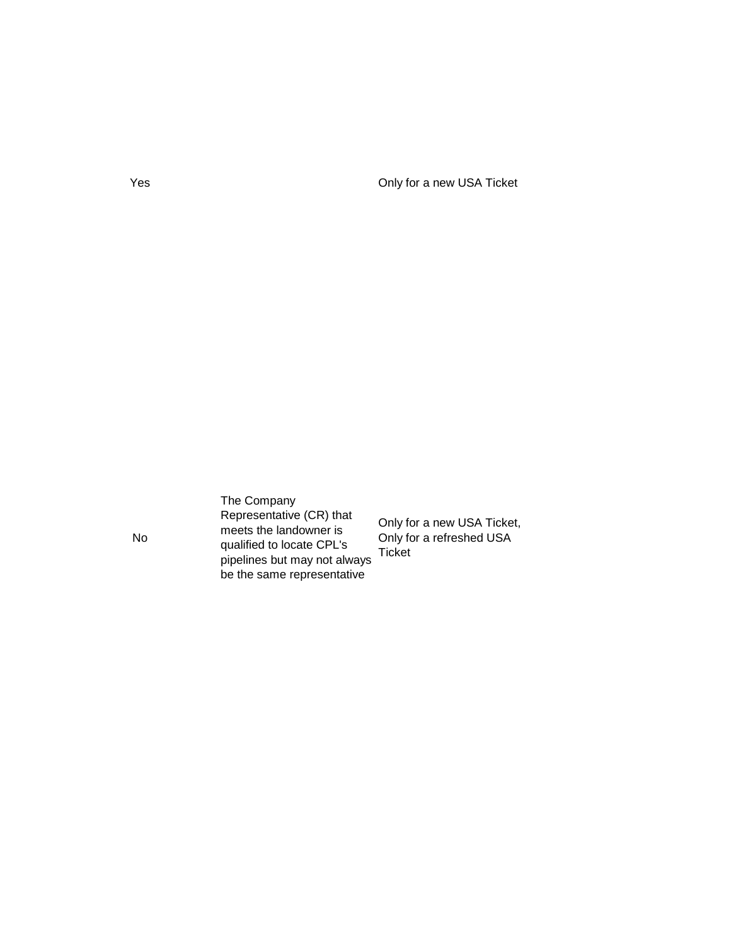Yes Only for a new USA Ticket

The Company Representative (CR) that meets the landowner is qualified to locate CPL's pipelines but may not always be the same representative

Only for a new USA Ticket, Only for a refreshed USA Ticket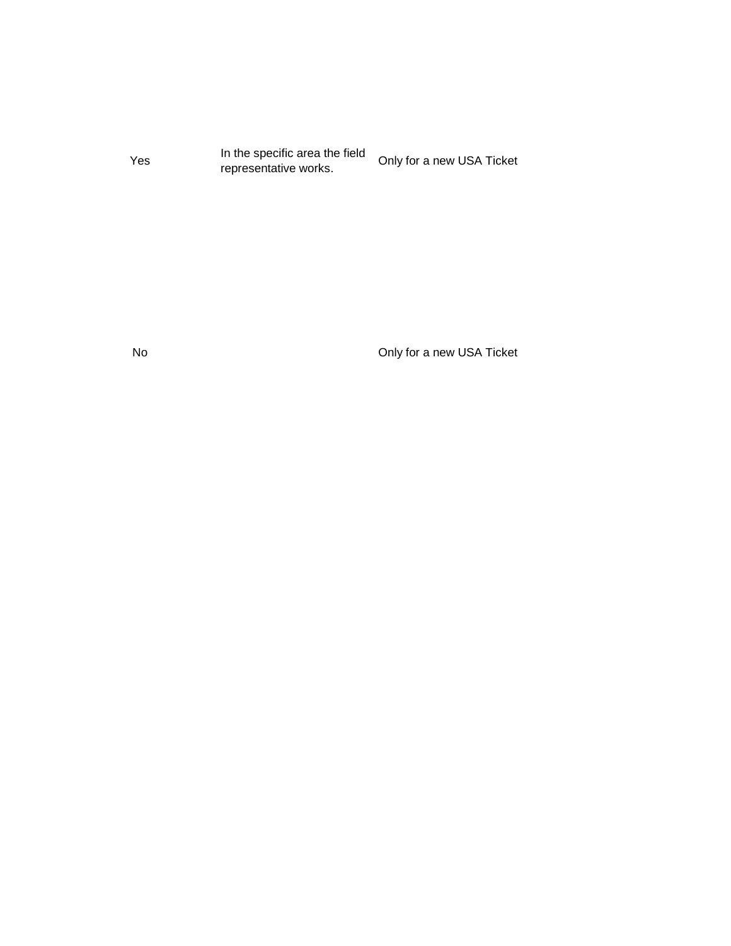Yes In the specific area the field In the specific area the field<br>representative works.

No Only for a new USA Ticket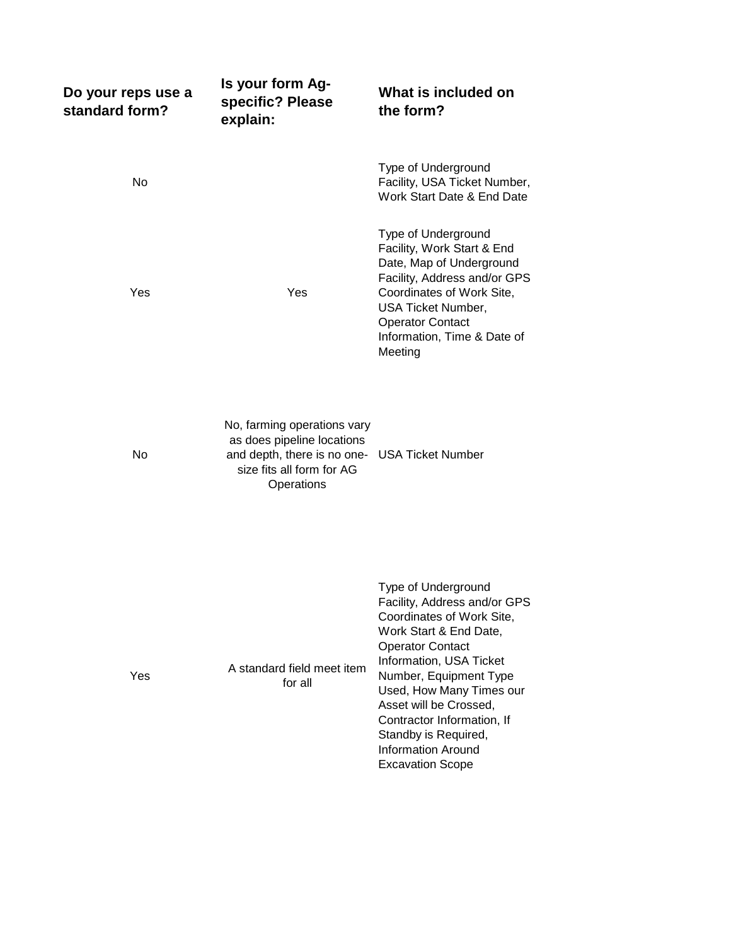| Do your reps use a<br>standard form? | Is your form Ag-<br>specific? Please<br>explain:                                                                                                      | What is included on<br>the form?                                                                                                                                                                                                                                                                                                                               |
|--------------------------------------|-------------------------------------------------------------------------------------------------------------------------------------------------------|----------------------------------------------------------------------------------------------------------------------------------------------------------------------------------------------------------------------------------------------------------------------------------------------------------------------------------------------------------------|
| No                                   |                                                                                                                                                       | Type of Underground<br>Facility, USA Ticket Number,<br>Work Start Date & End Date                                                                                                                                                                                                                                                                              |
| Yes                                  | Yes                                                                                                                                                   | Type of Underground<br>Facility, Work Start & End<br>Date, Map of Underground<br>Facility, Address and/or GPS<br>Coordinates of Work Site,<br>USA Ticket Number,<br><b>Operator Contact</b><br>Information, Time & Date of<br>Meeting                                                                                                                          |
| No                                   | No, farming operations vary<br>as does pipeline locations<br>and depth, there is no one- USA Ticket Number<br>size fits all form for AG<br>Operations |                                                                                                                                                                                                                                                                                                                                                                |
| Yes                                  | A standard field meet item<br>for all                                                                                                                 | Type of Underground<br>Facility, Address and/or GPS<br>Coordinates of Work Site,<br>Work Start & End Date,<br><b>Operator Contact</b><br>Information, USA Ticket<br>Number, Equipment Type<br>Used, How Many Times our<br>Asset will be Crossed,<br>Contractor Information, If<br>Standby is Required,<br><b>Information Around</b><br><b>Excavation Scope</b> |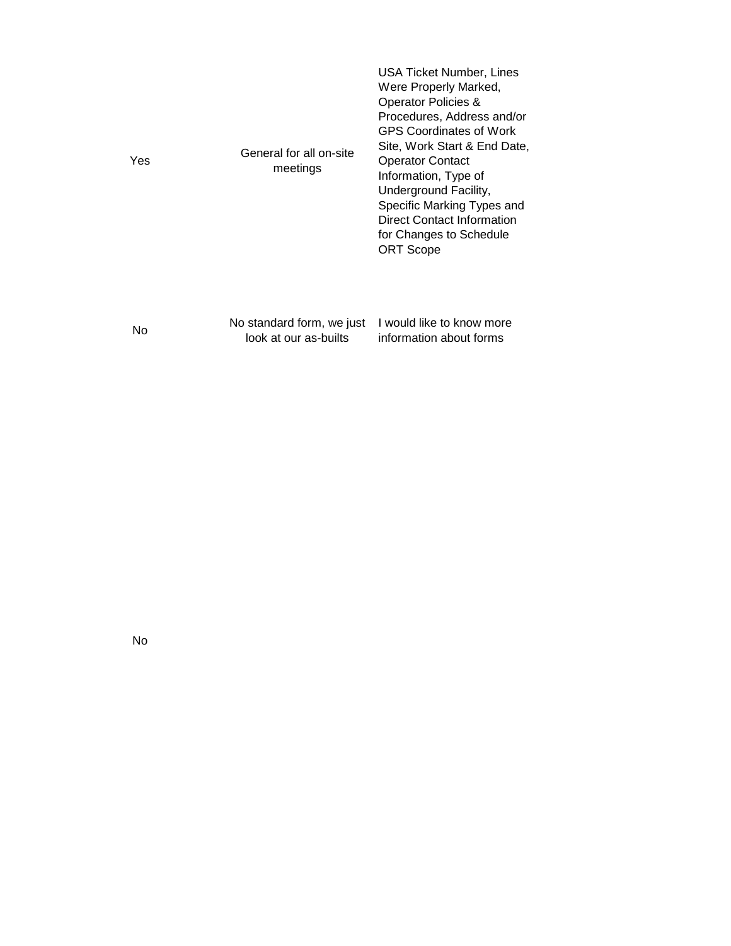| Yes | General for all on-site<br>meetings                | USA Ticket Number, Lines<br>Were Properly Marked,<br>Operator Policies &<br>Procedures, Address and/or<br><b>GPS Coordinates of Work</b><br>Site, Work Start & End Date,<br><b>Operator Contact</b><br>Information, Type of<br>Underground Facility,<br>Specific Marking Types and<br>Direct Contact Information<br>for Changes to Schedule<br><b>ORT Scope</b> |
|-----|----------------------------------------------------|-----------------------------------------------------------------------------------------------------------------------------------------------------------------------------------------------------------------------------------------------------------------------------------------------------------------------------------------------------------------|
| No  | No standard form, we just<br>look at our as-builts | I would like to know more<br>information about forms                                                                                                                                                                                                                                                                                                            |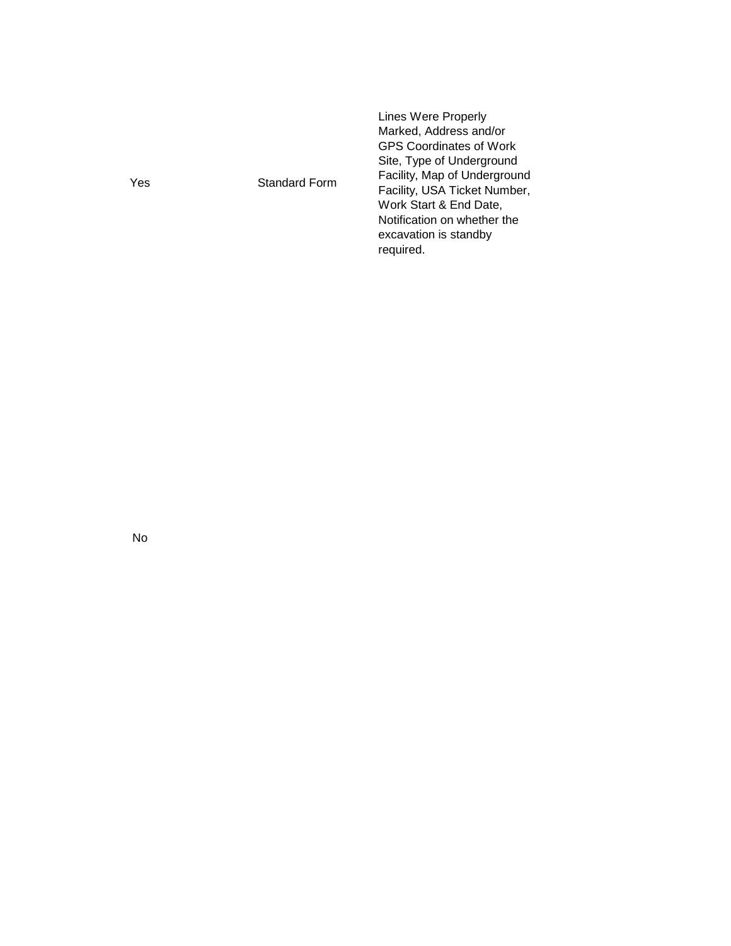| Yes<br>Standard Form | Lines Were Properly<br>Marked, Address and/or<br><b>GPS Coordinates of Work</b><br>Site, Type of Underground<br>Facility, Map of Underground<br>Facility, USA Ticket Number,<br>Work Start & End Date,<br>Notification on whether the<br>excavation is standby<br>required. |
|----------------------|-----------------------------------------------------------------------------------------------------------------------------------------------------------------------------------------------------------------------------------------------------------------------------|
|----------------------|-----------------------------------------------------------------------------------------------------------------------------------------------------------------------------------------------------------------------------------------------------------------------------|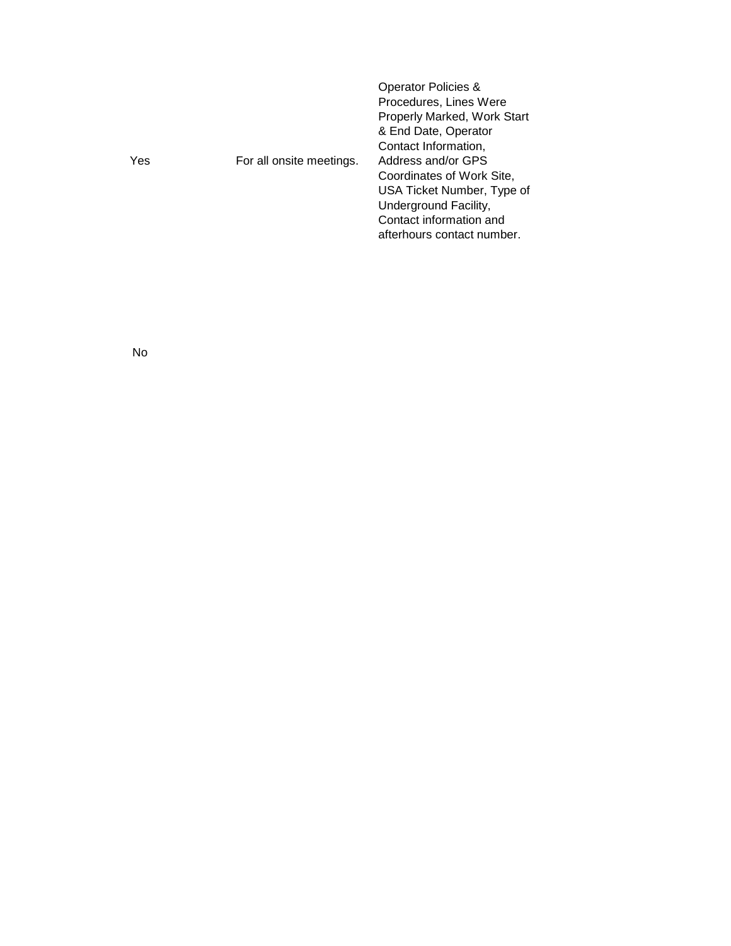| Procedures, Lines Were<br>Yes<br>For all onsite meetings. | Properly Marked, Work Start<br>& End Date, Operator<br>Contact Information,<br>Address and/or GPS<br>Coordinates of Work Site,<br>USA Ticket Number, Type of<br>Underground Facility,<br>Contact information and<br>afterhours contact number. |
|-----------------------------------------------------------|------------------------------------------------------------------------------------------------------------------------------------------------------------------------------------------------------------------------------------------------|
|-----------------------------------------------------------|------------------------------------------------------------------------------------------------------------------------------------------------------------------------------------------------------------------------------------------------|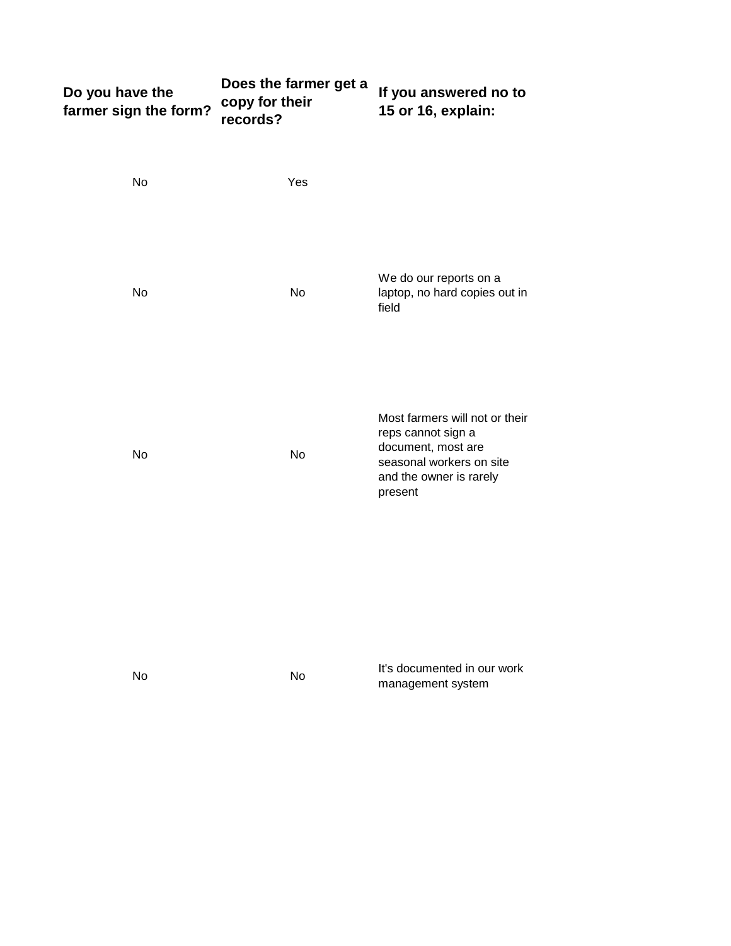| Do you have the<br>farmer sign the form? | Does the farmer get a<br>copy for their<br>records? | If you answered no to<br>15 or 16, explain:                                                                                                  |
|------------------------------------------|-----------------------------------------------------|----------------------------------------------------------------------------------------------------------------------------------------------|
| No                                       | Yes                                                 |                                                                                                                                              |
| No                                       | No                                                  | We do our reports on a<br>laptop, no hard copies out in<br>field                                                                             |
| No                                       | No                                                  | Most farmers will not or their<br>reps cannot sign a<br>document, most are<br>seasonal workers on site<br>and the owner is rarely<br>present |
| No                                       | No                                                  | It's documented in our work<br>management system                                                                                             |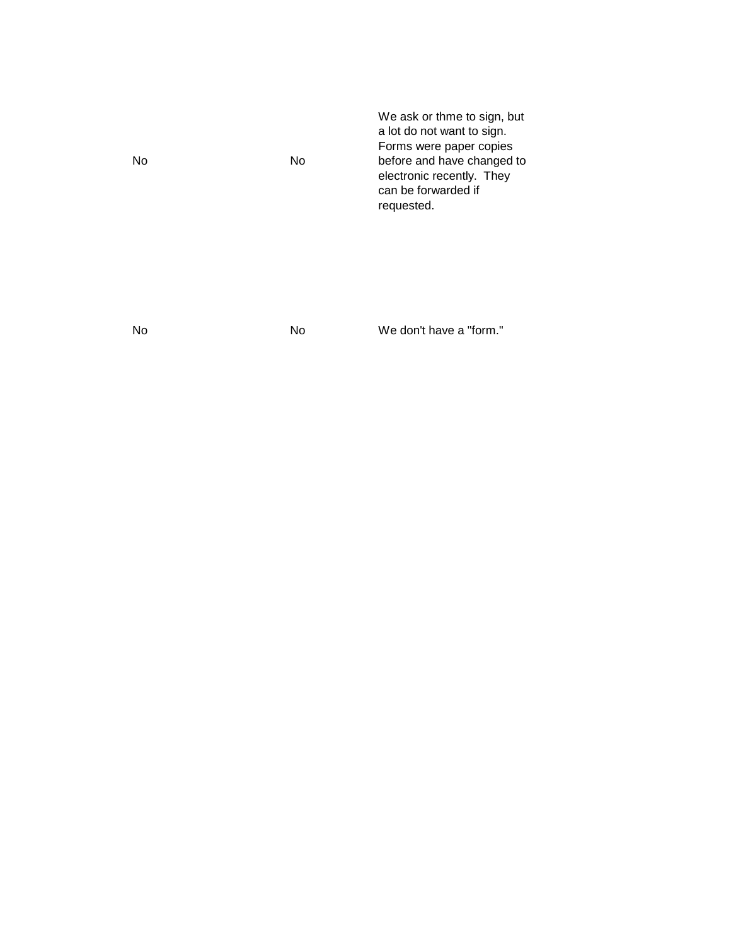| No. | No | We ask or thme to sign, but<br>a lot do not want to sign.<br>Forms were paper copies<br>before and have changed to<br>electronic recently. They<br>can be forwarded if<br>requested. |
|-----|----|--------------------------------------------------------------------------------------------------------------------------------------------------------------------------------------|
|     |    |                                                                                                                                                                                      |

No No We don't have a "form."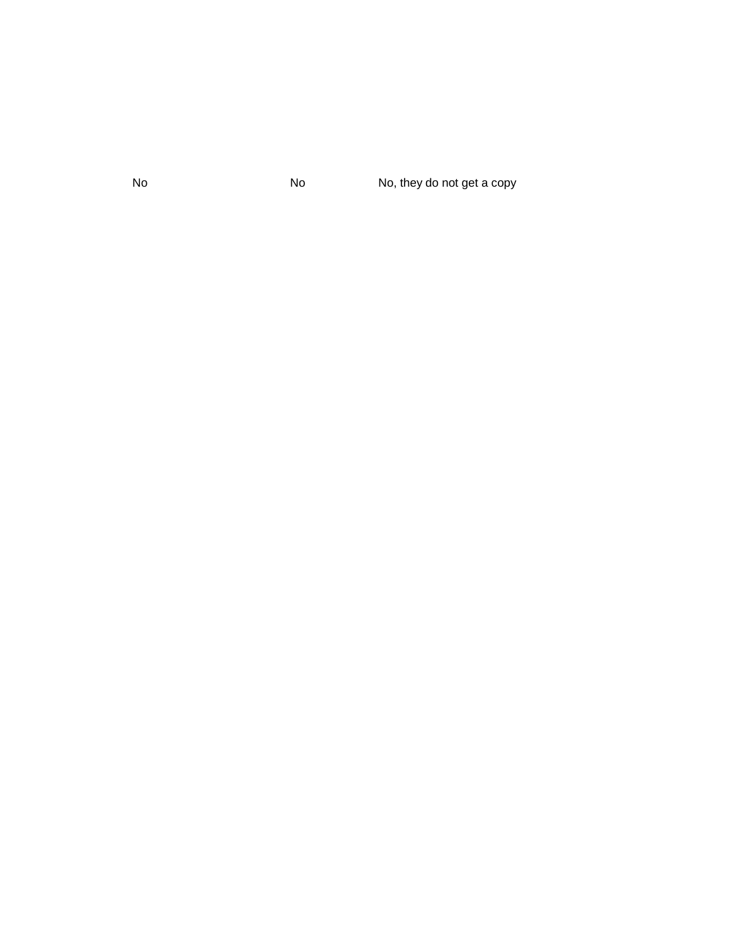No No No, they do not get a copy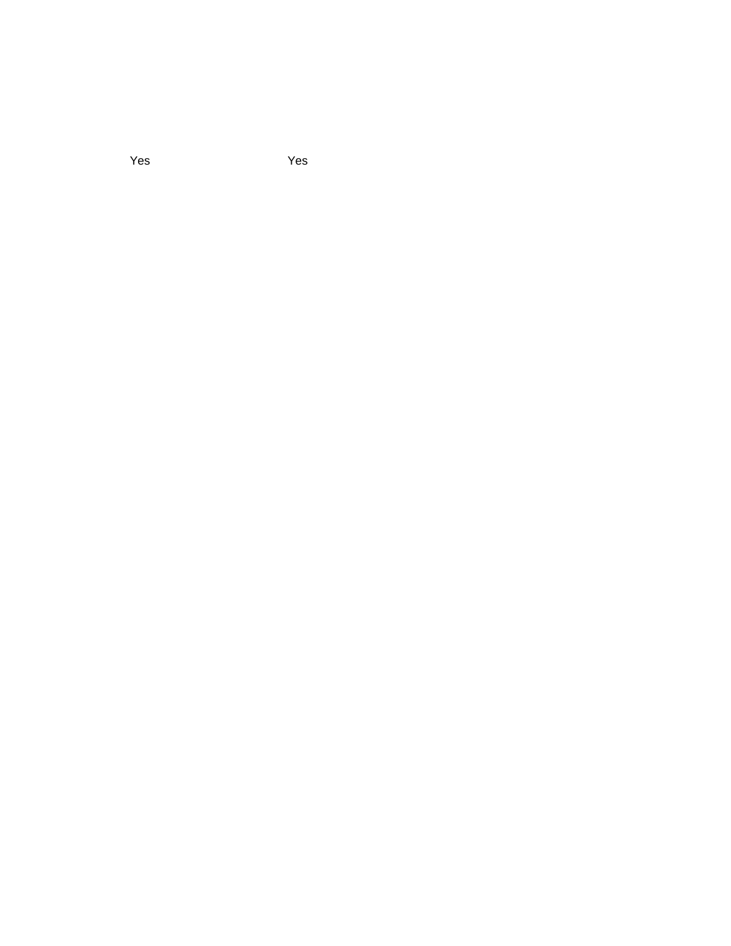Yes Yes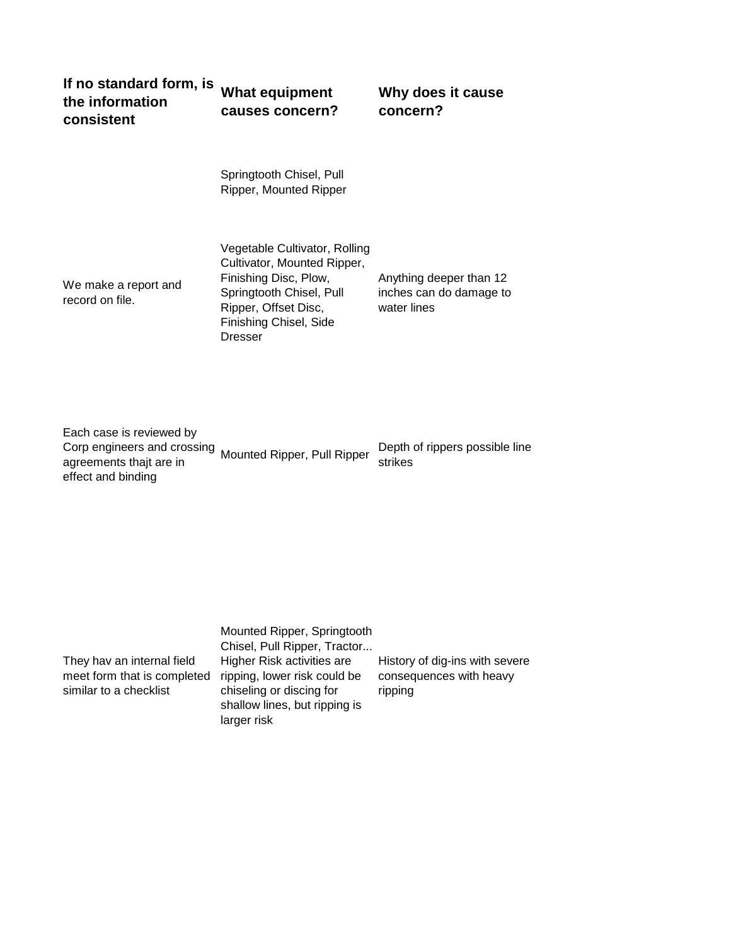| if no standard torm, is What equipment |                 |
|----------------------------------------|-----------------|
| the information                        | causes concern? |
| consistent                             |                 |

**Why does it cause concern?**

Springtooth Chisel, Pull Ripper, Mounted Ripper

We make a report and record on file.

Vegetable Cultivator, Rolling Cultivator, Mounted Ripper, Finishing Disc, Plow, Springtooth Chisel, Pull Ripper, Offset Disc, Finishing Chisel, Side Dresser

Anything deeper than 12 inches can do damage to water lines

Each case is reviewed by Corp engineers and crossing agreements thajt are in effect and binding

Mounted Ripper, Pull Ripper Depth of rippers possible line strikes

They hav an internal field meet form that is completed similar to a checklist

Mounted Ripper, Springtooth Chisel, Pull Ripper, Tractor... Higher Risk activities are ripping, lower risk could be chiseling or discing for shallow lines, but ripping is larger risk

History of dig-ins with severe consequences with heavy ripping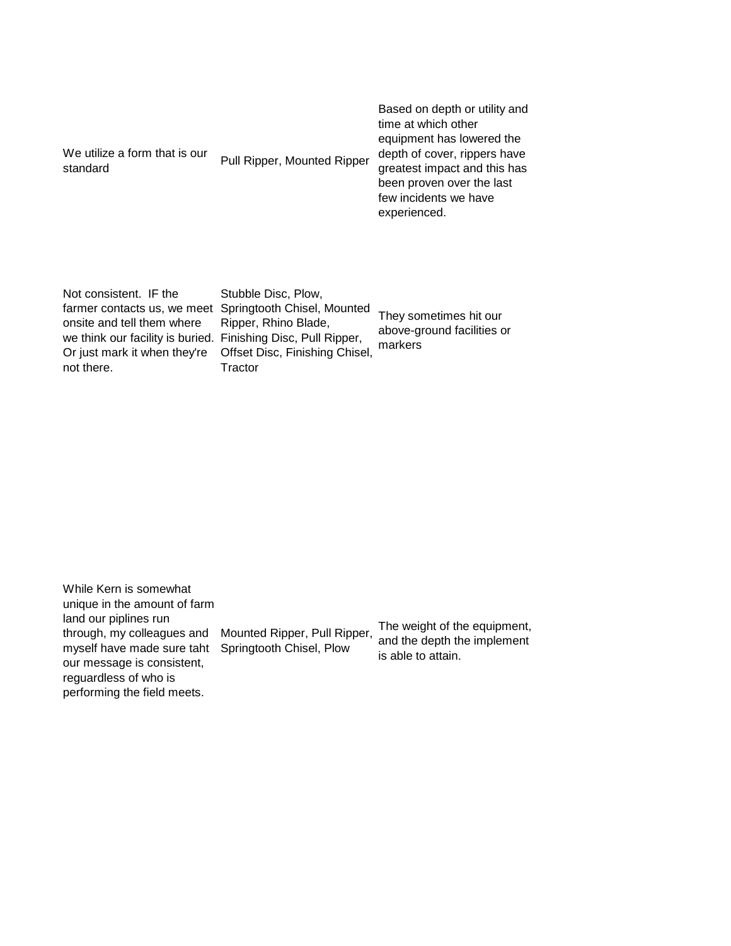| We utilize a form that is our<br>standard | Pull Ripper, Mounted Ripper | Based on depth or utility and<br>time at which other<br>equipment has lowered the<br>depth of cover, rippers have<br>greatest impact and this has<br>been proven over the last<br>few incidents we have<br>experienced. |
|-------------------------------------------|-----------------------------|-------------------------------------------------------------------------------------------------------------------------------------------------------------------------------------------------------------------------|
|                                           |                             |                                                                                                                                                                                                                         |

Not consistent. IF the farmer contacts us, we meet Springtooth Chisel, Mounted onsite and tell them where we think our facility is buried. Finishing Disc, Pull Ripper, Or just mark it when they're not there.

Stubble Disc, Plow, Ripper, Rhino Blade, Offset Disc, Finishing Chisel, **Tractor** 

They sometimes hit our above-ground facilities or markers

While Kern is somewhat unique in the amount of farm land our piplines run through, my colleagues and myself have made sure taht Springtooth Chisel, Plow our message is consistent, reguardless of who is performing the field meets. Mounted Ripper, Pull Ripper, The weight of the equipment, and the depth the implement is able to attain.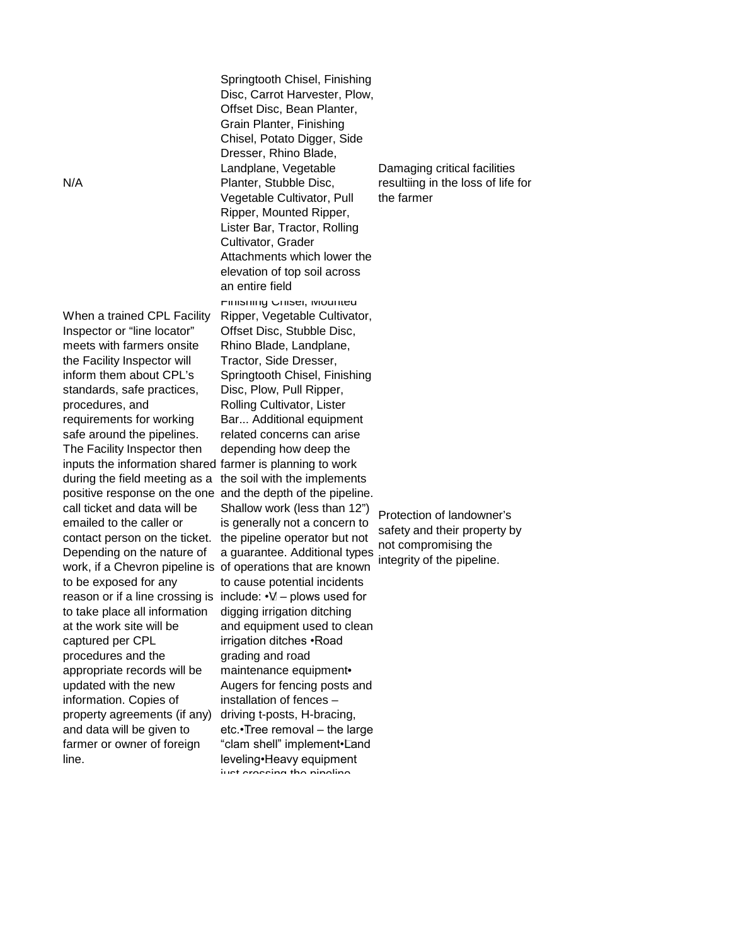When a trained CPL Facility Inspector or "line locator" meets with farmers onsite the Facility Inspector will inform them about CPL's standards, safe practices, procedures, and requirements for working safe around the pipelines. The Facility Inspector then inputs the information shared farmer is planning to work during the field meeting as a call ticket and data will be emailed to the caller or contact person on the ticket. Depending on the nature of work, if a Chevron pipeline is to be exposed for any reason or if a line crossing is include:  $\cdot \nabla$  – plows used for to take place all information at the work site will be captured per CPL procedures and the appropriate records will be updated with the new information. Copies of property agreements (if any) and data will be given to farmer or owner of foreign line.

Springtooth Chisel, Finishing Disc, Carrot Harvester, Plow, Offset Disc, Bean Planter, Grain Planter, Finishing Chisel, Potato Digger, Side Dresser, Rhino Blade, Landplane, Vegetable Planter, Stubble Disc, Vegetable Cultivator, Pull Ripper, Mounted Ripper, Lister Bar, Tractor, Rolling Cultivator, Grader Attachments which lower the elevation of top soil across an entire field positive response on the one and the depth of the pipeline. Finishing Chisel, Mounted Ripper, Vegetable Cultivator, Offset Disc, Stubble Disc, Rhino Blade, Landplane, Tractor, Side Dresser, Springtooth Chisel, Finishing Disc, Plow, Pull Ripper, Rolling Cultivator, Lister Bar... Additional equipment related concerns can arise depending how deep the the soil with the implements Shallow work (less than 12") is generally not a concern to the pipeline operator but not a guarantee. Additional types of operations that are known to cause potential incidents digging irrigation ditching and equipment used to clean irrigation ditches • Road grading and road maintenance equipment• Augers for fencing posts and installation of fences – driving t-posts, H-bracing, etc.• Tree removal – the large "clam shell" implement• Land leveling• Heavy equipment just crossing the pipeline

Damaging critical facilities resultiing in the loss of life for the farmer

Protection of landowner's safety and their property by not compromising the integrity of the pipeline.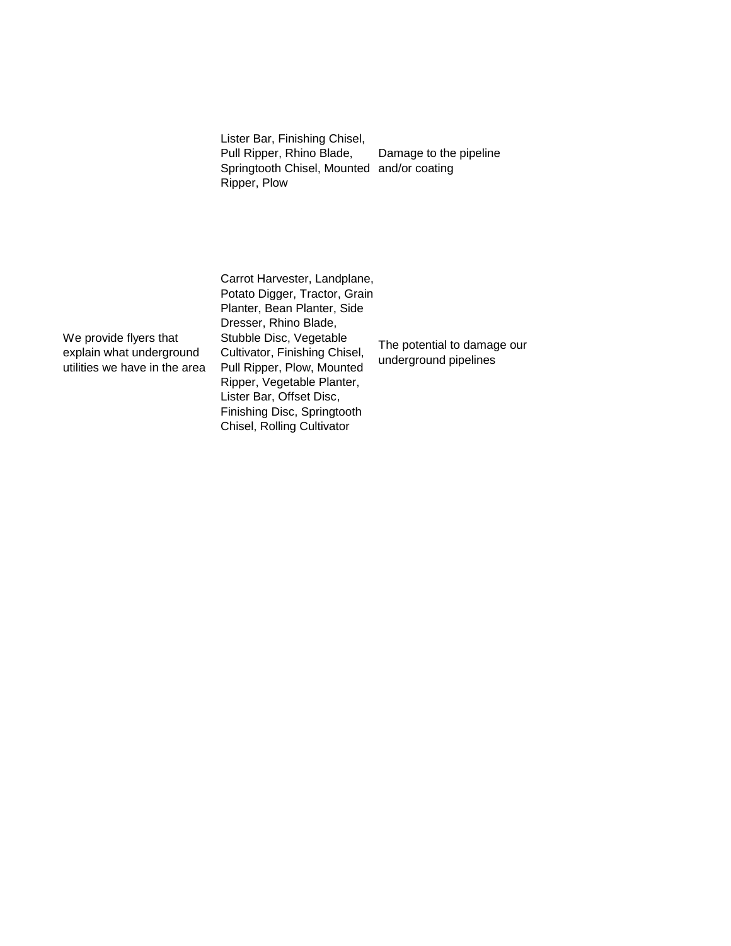Lister Bar, Finishing Chisel, Pull Ripper, Rhino Blade, Springtooth Chisel, Mounted and/or coating Ripper, Plow Damage to the pipeline

We provide flyers that explain what underground utilities we have in the area Carrot Harvester, Landplane, Potato Digger, Tractor, Grain Planter, Bean Planter, Side Dresser, Rhino Blade, Stubble Disc, Vegetable Cultivator, Finishing Chisel, Pull Ripper, Plow, Mounted Ripper, Vegetable Planter, Lister Bar, Offset Disc, Finishing Disc, Springtooth Chisel, Rolling Cultivator

The potential to damage our underground pipelines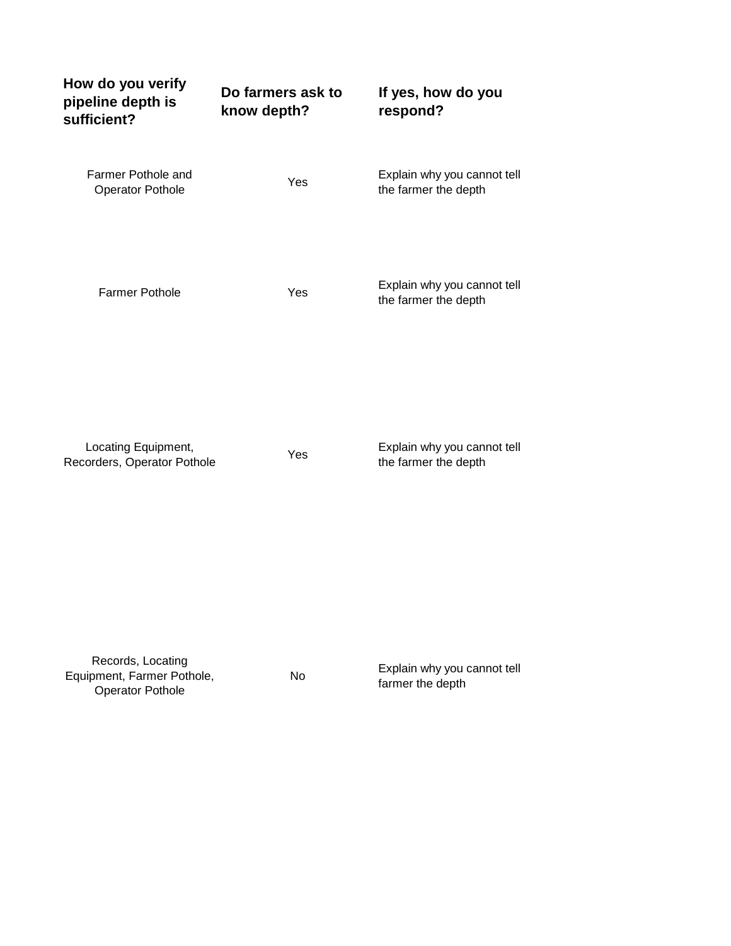| know depth? | respond?                                            |
|-------------|-----------------------------------------------------|
| Yes         | Explain why you cannot tell<br>the farmer the depth |
| Yes         | Explain why you cannot tell<br>the farmer the depth |
| Yes         | Explain why you cannot tell<br>the farmer the depth |
|             |                                                     |

Records, Locating Equipment, Farmer Pothole, Operator Pothole

No Explain why you cannot tell farmer the depth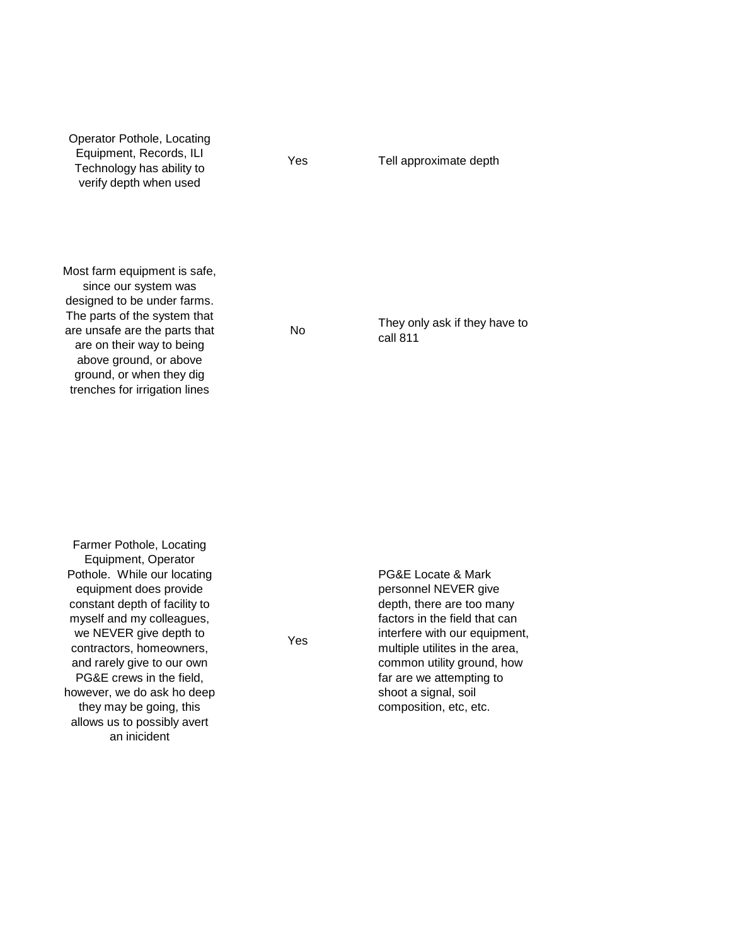| Operator Pothole, Locating<br>Equipment, Records, ILI<br>Technology has ability to<br>verify depth when used                                                                                                                                                             | Yes | Tell approximate depth                    |
|--------------------------------------------------------------------------------------------------------------------------------------------------------------------------------------------------------------------------------------------------------------------------|-----|-------------------------------------------|
| Most farm equipment is safe,<br>since our system was<br>designed to be under farms.<br>The parts of the system that<br>are unsafe are the parts that<br>are on their way to being<br>above ground, or above<br>ground, or when they dig<br>trenches for irrigation lines | No  | They only ask if they have to<br>call 811 |

Farmer Pothole, Locating Equipment, Operator Pothole. While our locating equipment does provide constant depth of facility to myself and my colleagues, we NEVER give depth to contractors, homeowners, and rarely give to our own PG&E crews in the field, however, we do ask ho deep they may be going, this allows us to possibly avert an inicident

Yes

PG&E Locate & Mark personnel NEVER give depth, there are too many factors in the field that can interfere with our equipment, multiple utilites in the area, common utility ground, how far are we attempting to shoot a signal, soil composition, etc, etc.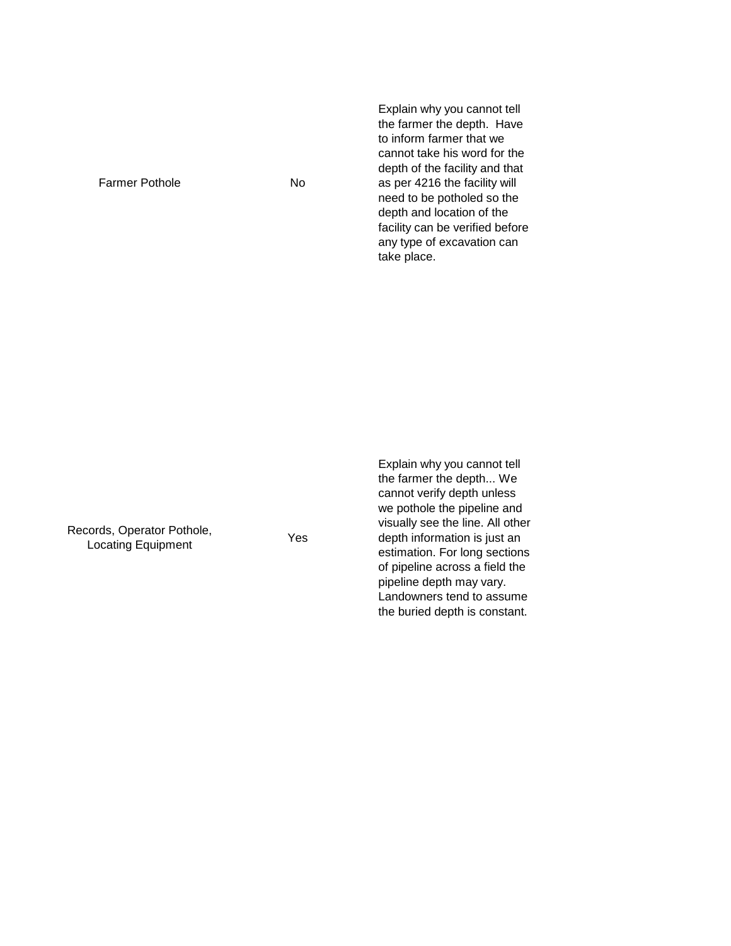Farmer Pothole No

Explain why you cannot tell the farmer the depth. Have to inform farmer that we cannot take his word for the depth of the facility and that as per 4216 the facility will need to be potholed so the depth and location of the facility can be verified before any type of excavation can take place.

Records, Operator Pothole, Sortis, Operator Pothole,<br>
Locating Equipment<br>
Ves

Explain why you cannot tell the farmer the depth... We cannot verify depth unless we pothole the pipeline and visually see the line. All other depth information is just an estimation. For long sections of pipeline across a field the pipeline depth may vary. Landowners tend to assume the buried depth is constant.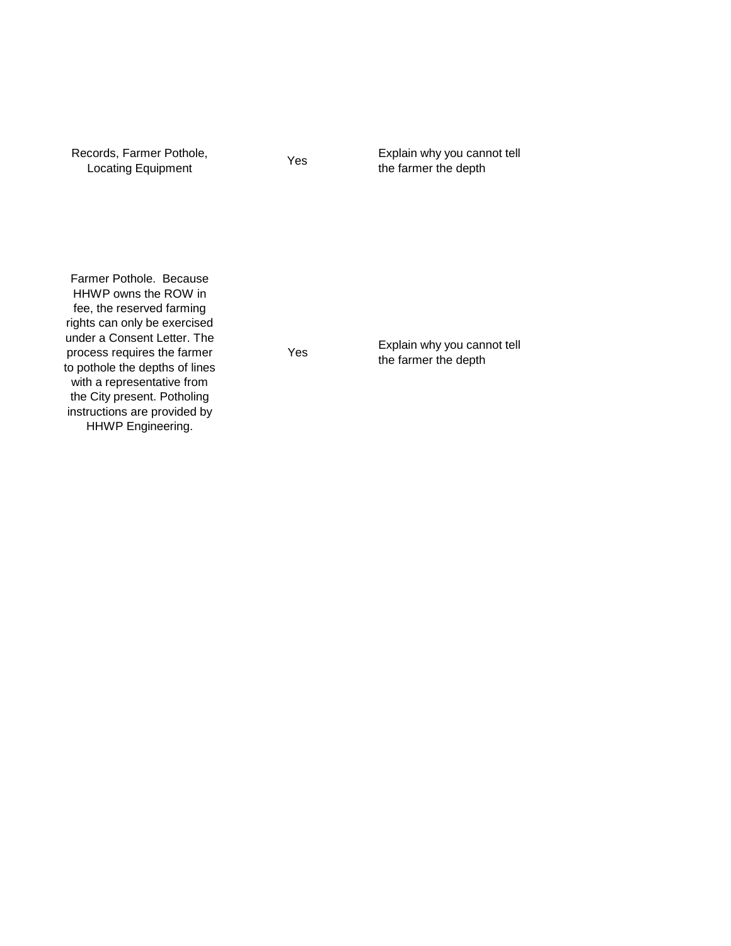Records, Farmer Pothole, cords, Farmer Pothole, <sub>Yes</sub> Explain why you cannot tell<br>Locating Equipment Yes the farmer the depth Farmer Pothole. Because HHWP owns the ROW in fee, the reserved farming rights can only be exercised under a Consent Letter. The process requires the farmer to pothole the depths of lines with a representative from the City present. Potholing instructions are provided by Yes Explain why you cannot tell the farmer the depth

HHWP Engineering.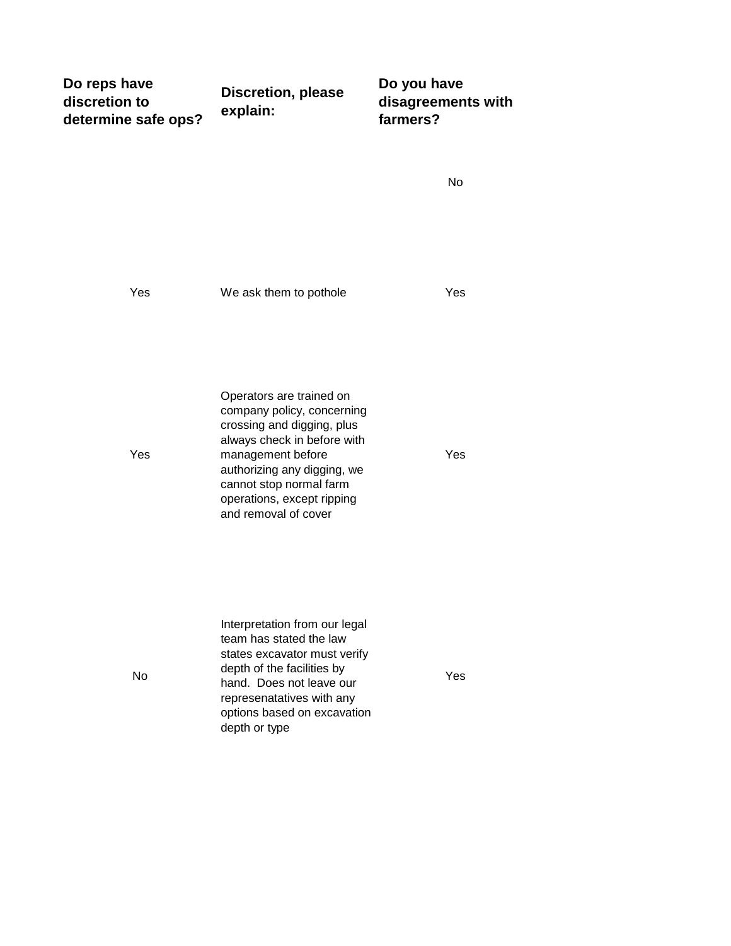| Do reps have        | <b>Discretion, please</b><br>explain: | Do you have        |
|---------------------|---------------------------------------|--------------------|
| discretion to       |                                       | disagreements with |
| determine safe ops? |                                       | farmers?           |

Yes We ask them to pothole The Yes Yes Operators are trained on company policy, concerning crossing and digging, plus always check in before with management before authorizing any digging, we cannot stop normal farm operations, except ripping and removal of cover Yes No Interpretation from our legal team has stated the law states excavator must verify depth of the facilities by hand. Does not leave our represenatatives with any options based on excavation Yes

depth or type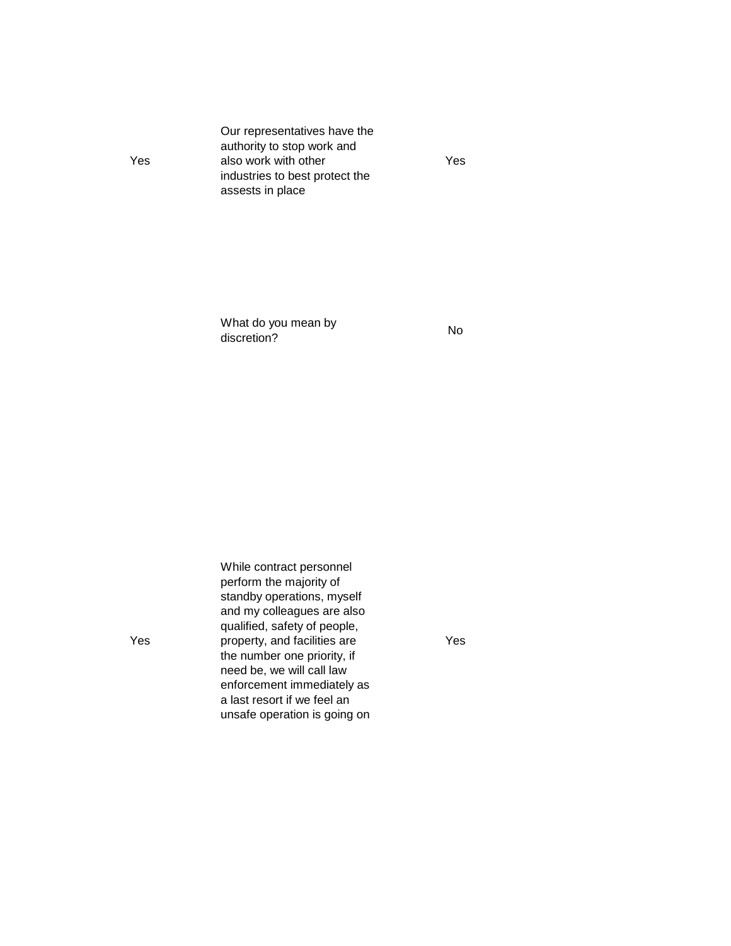Our representatives have the authority to stop work and also work with other industries to best protect the assests in place

Yes

What do you mean by what do you mean by<br>discretion? No

While contract personnel perform the majority of standby operations, myself and my colleagues are also qualified, safety of people, property, and facilities are the number one priority, if need be, we will call law enforcement immediately as a last resort if we feel an unsafe operation is going on

Yes

Yes

Yes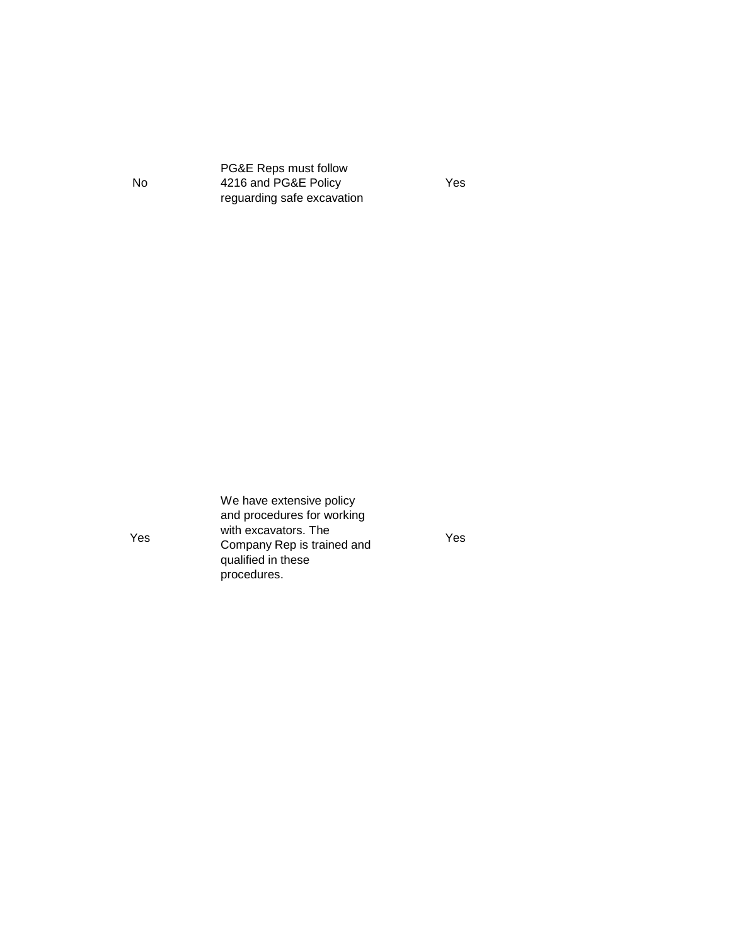PG&E Reps must follow 4216 and PG&E Policy reguarding safe excavation

Yes

Yes

No

We have extensive policy and procedures for working with excavators. The Company Rep is trained and qualified in these procedures.

Yes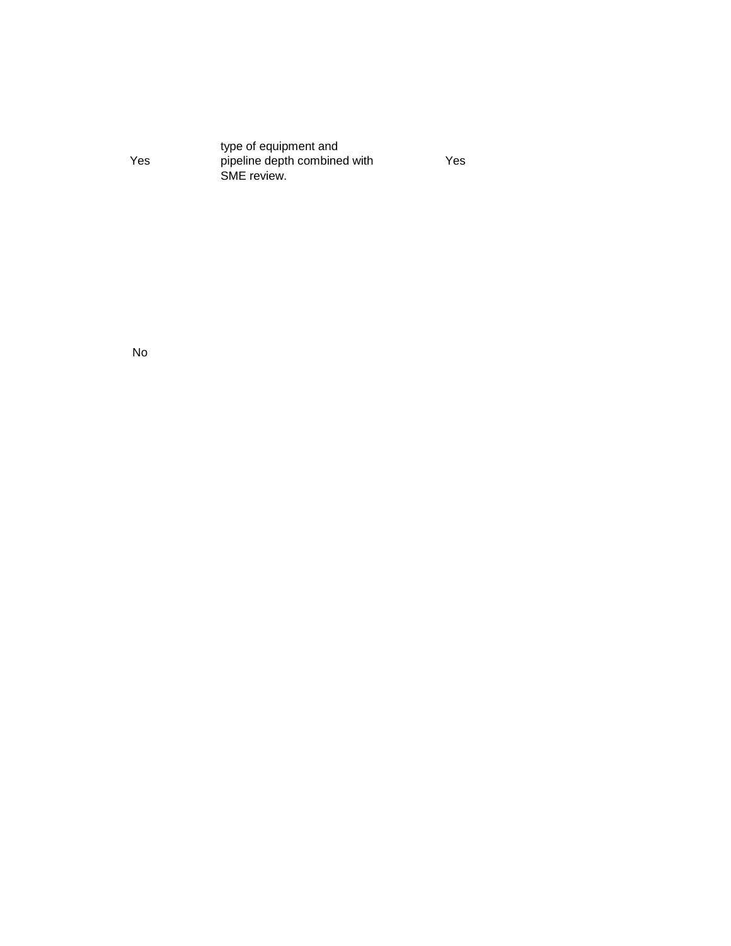| type of equipment and        |
|------------------------------|
| pipeline depth combined with |
| SME review.                  |
|                              |

Yes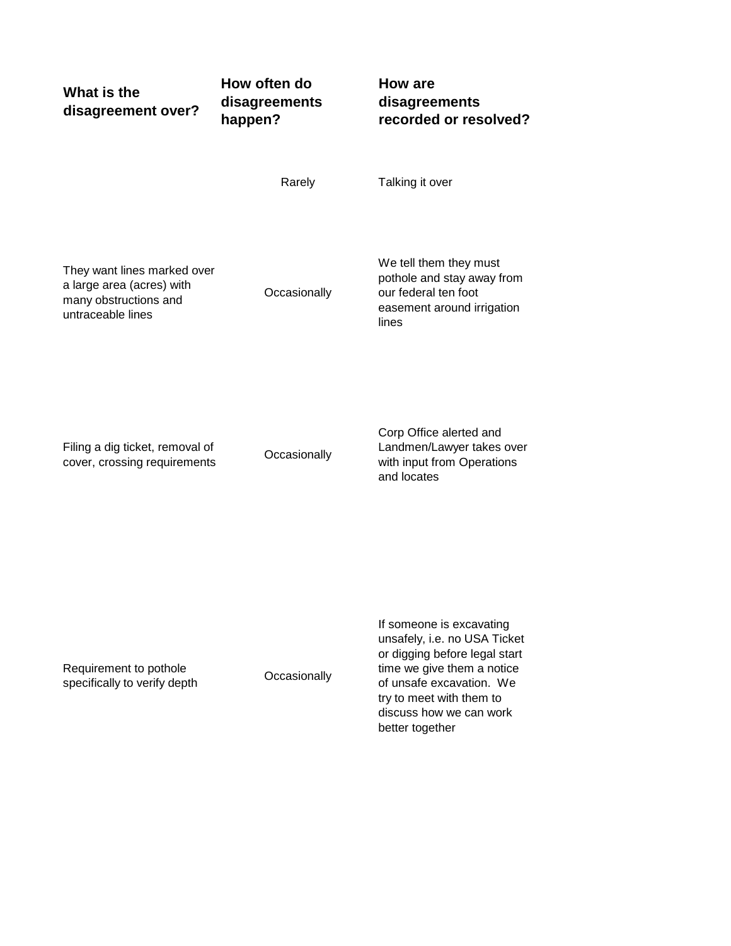| What is the<br>disagreement over?                                                                      | How often do<br>disagreements<br>happen? | How are<br>disagreements<br>recorded or resolved?                                                                                                                                                                             |
|--------------------------------------------------------------------------------------------------------|------------------------------------------|-------------------------------------------------------------------------------------------------------------------------------------------------------------------------------------------------------------------------------|
|                                                                                                        | Rarely                                   | Talking it over                                                                                                                                                                                                               |
| They want lines marked over<br>a large area (acres) with<br>many obstructions and<br>untraceable lines | Occasionally                             | We tell them they must<br>pothole and stay away from<br>our federal ten foot<br>easement around irrigation<br>lines                                                                                                           |
| Filing a dig ticket, removal of<br>cover, crossing requirements                                        | Occasionally                             | Corp Office alerted and<br>Landmen/Lawyer takes over<br>with input from Operations<br>and locates                                                                                                                             |
| Requirement to pothole<br>specifically to verify depth                                                 | Occasionally                             | If someone is excavating<br>unsafely, i.e. no USA Ticket<br>or digging before legal start<br>time we give them a notice<br>of unsafe excavation. We<br>try to meet with them to<br>discuss how we can work<br>better together |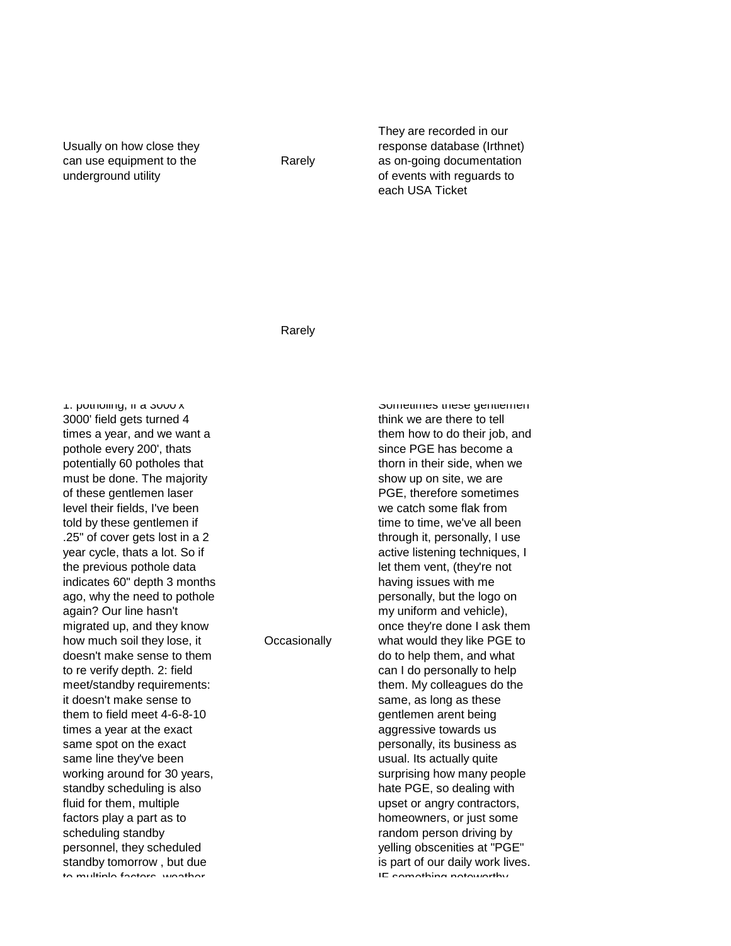Usually on how close they can use equipment to the underground utility

Rarely

They are recorded in our response database (Irthnet) as on-going documentation of events with reguards to each USA Ticket

Rarely

**Occasionally** 

1: potholing, if a 3000 x 3000' field gets turned 4 times a year, and we want a pothole every 200', thats potentially 60 potholes that must be done. The majority of these gentlemen laser level their fields, I've been told by these gentlemen if .25" of cover gets lost in a 2 year cycle, thats a lot. So if the previous pothole data indicates 60" depth 3 months ago, why the need to pothole again? Our line hasn't migrated up, and they know how much soil they lose, it doesn't make sense to them to re verify depth. 2: field meet/standby requirements: it doesn't make sense to them to field meet 4-6-8-10 times a year at the exact same spot on the exact same line they've been working around for 30 years, standby scheduling is also fluid for them, multiple factors play a part as to scheduling standby personnel, they scheduled standby tomorrow , but due to multiple factors weather

think we are there to tell them how to do their job, and since PGE has become a thorn in their side, when we show up on site, we are PGE, therefore sometimes we catch some flak from time to time, we've all been through it, personally, I use active listening techniques, I let them vent, (they're not having issues with me personally, but the logo on my uniform and vehicle), once they're done I ask them what would they like PGE to do to help them, and what can I do personally to help them. My colleagues do the same, as long as these gentlemen arent being aggressive towards us personally, its business as usual. Its actually quite surprising how many people hate PGE, so dealing with upset or angry contractors, homeowners, or just some random person driving by yelling obscenities at "PGE" is part of our daily work lives.

IE comothing notoworthy

Sometimes these gentlemen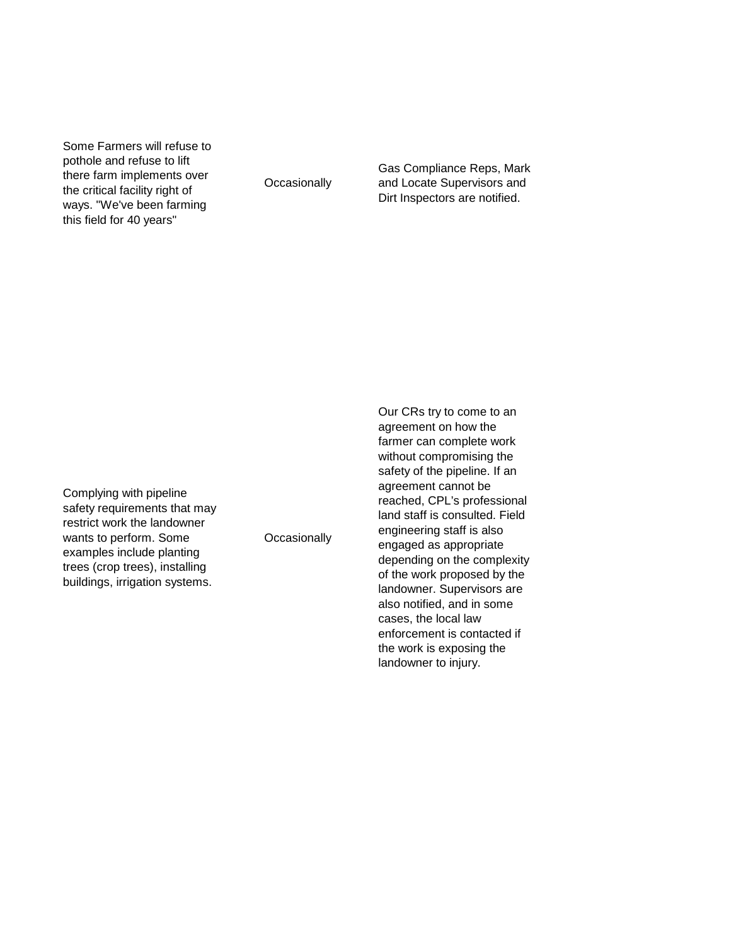Some Farmers will refuse to pothole and refuse to lift there farm implements over the critical facility right of ways. "We've been farming this field for 40 years"

**Occasionally** 

Gas Compliance Reps, Mark and Locate Supervisors and Dirt Inspectors are notified.

Complying with pipeline safety requirements that may restrict work the landowner wants to perform. Some examples include planting trees (crop trees), installing buildings, irrigation systems.

**Occasionally** 

Our CRs try to come to an agreement on how the farmer can complete work without compromising the safety of the pipeline. If an agreement cannot be reached, CPL's professional land staff is consulted. Field engineering staff is also engaged as appropriate depending on the complexity of the work proposed by the landowner. Supervisors are also notified, and in some cases, the local law enforcement is contacted if the work is exposing the landowner to injury.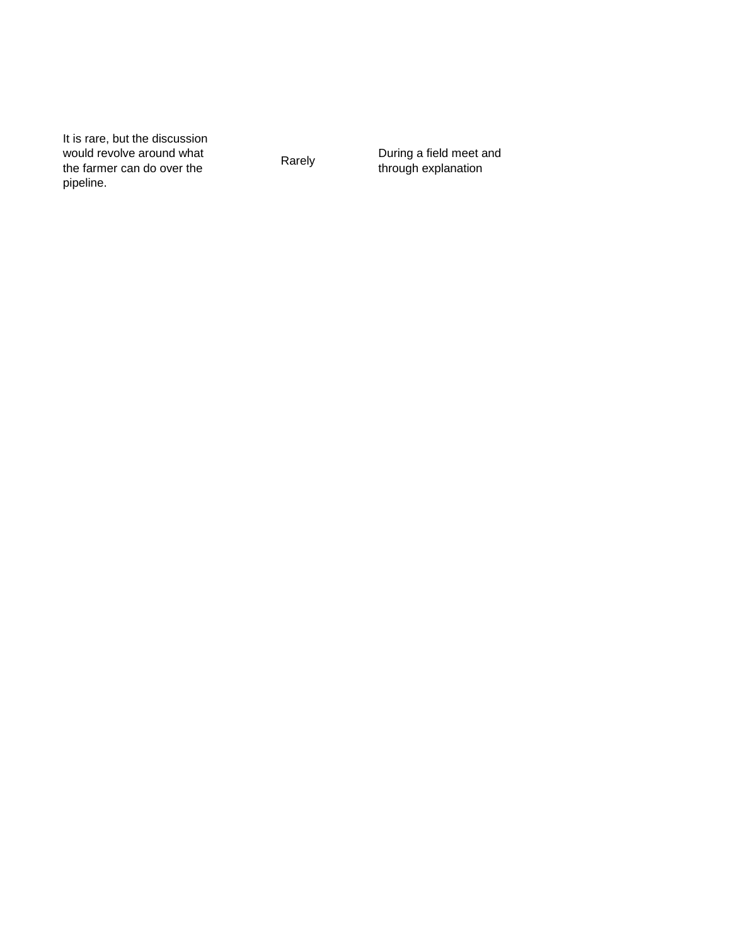It is rare, but the discussion would revolve around what the farmer can do over the pipeline.

Rarely During a field meet and<br>through evaluation through explanation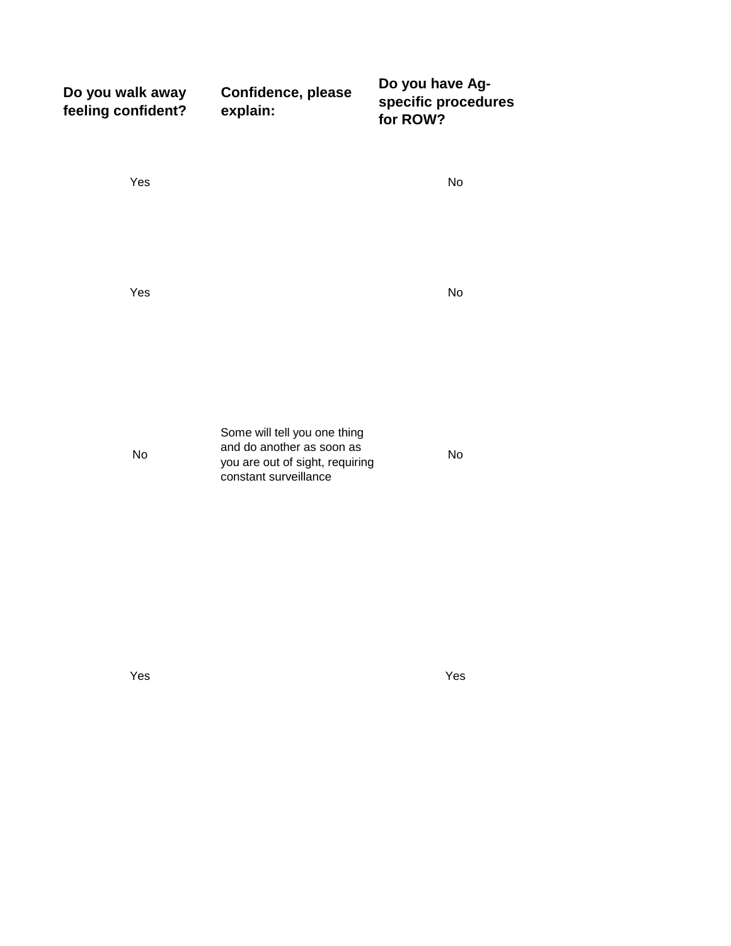| Do you walk away<br>feeling confident? | Confidence, please<br>explain:                                                                                        | Do you have Ag-<br>specific procedures<br>for ROW? |
|----------------------------------------|-----------------------------------------------------------------------------------------------------------------------|----------------------------------------------------|
| Yes                                    |                                                                                                                       | No                                                 |
| Yes                                    |                                                                                                                       | No                                                 |
| No                                     | Some will tell you one thing<br>and do another as soon as<br>you are out of sight, requiring<br>constant surveillance | <b>No</b>                                          |

Yes Yes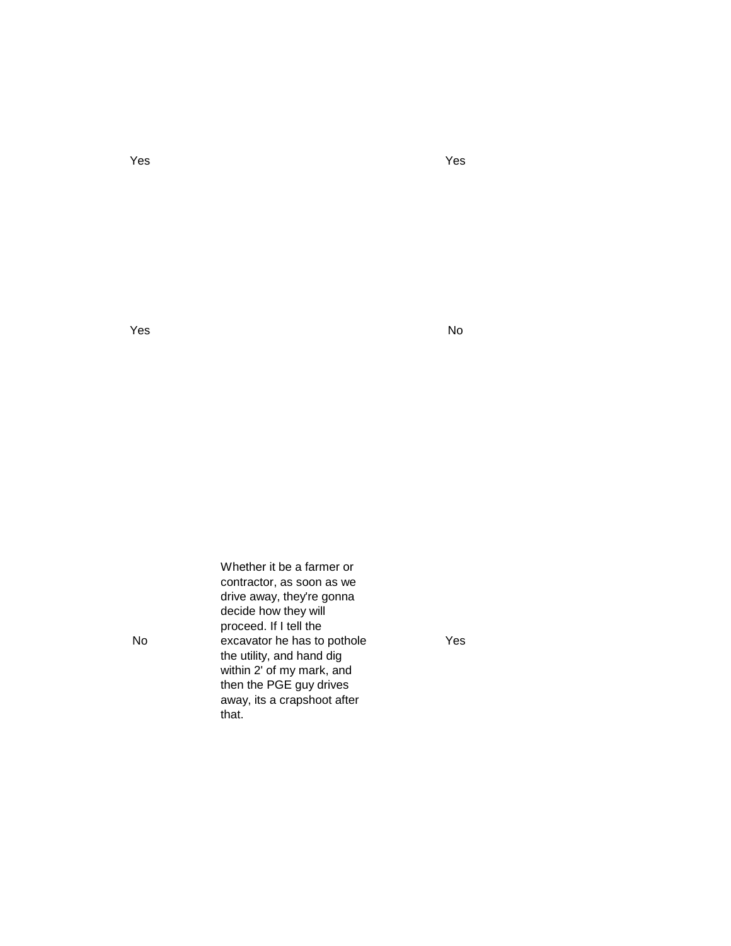Yes Yes

yes and the second second second second second second second second second second second second second second s

No

Whether it be a farmer or contractor, as soon as we drive away, they're gonna decide how they will proceed. If I tell the excavator he has to pothole the utility, and hand dig within 2' of my mark, and then the PGE guy drives away, its a crapshoot after that.

Yes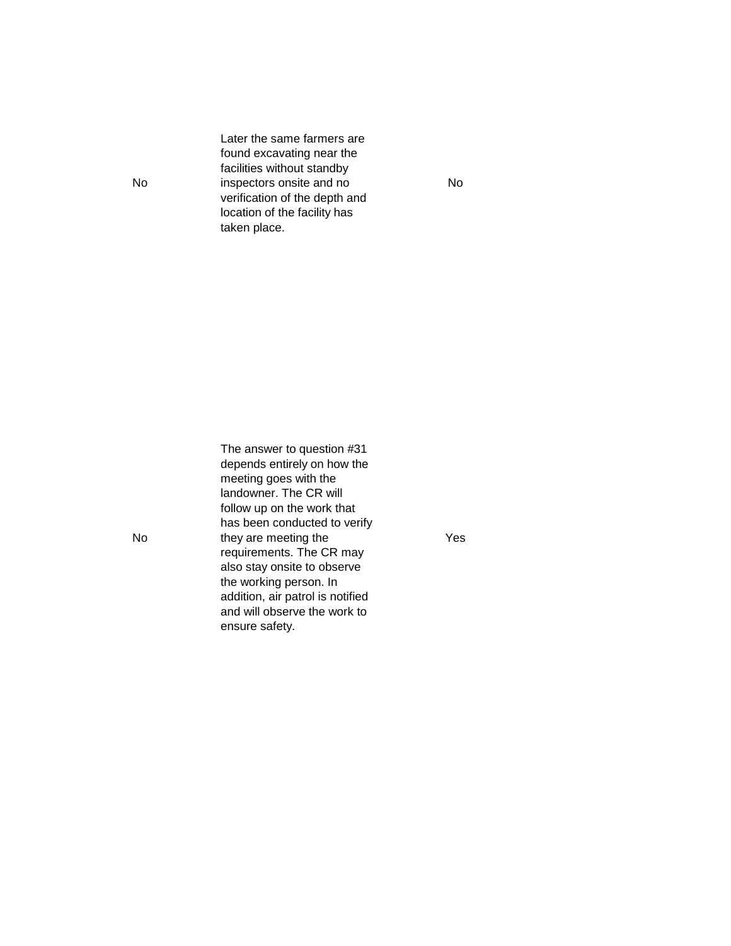Later the same farmers are found excavating near the facilities without standby inspectors onsite and no verification of the depth and location of the facility has taken place.

The answer to question #31 depends entirely on how the meeting goes with the landowner. The CR will follow up on the work that has been conducted to verify they are meeting the requirements. The CR may also stay onsite to observe the working person. In addition, air patrol is notified and will observe the work to ensure safety.

Yes

No

No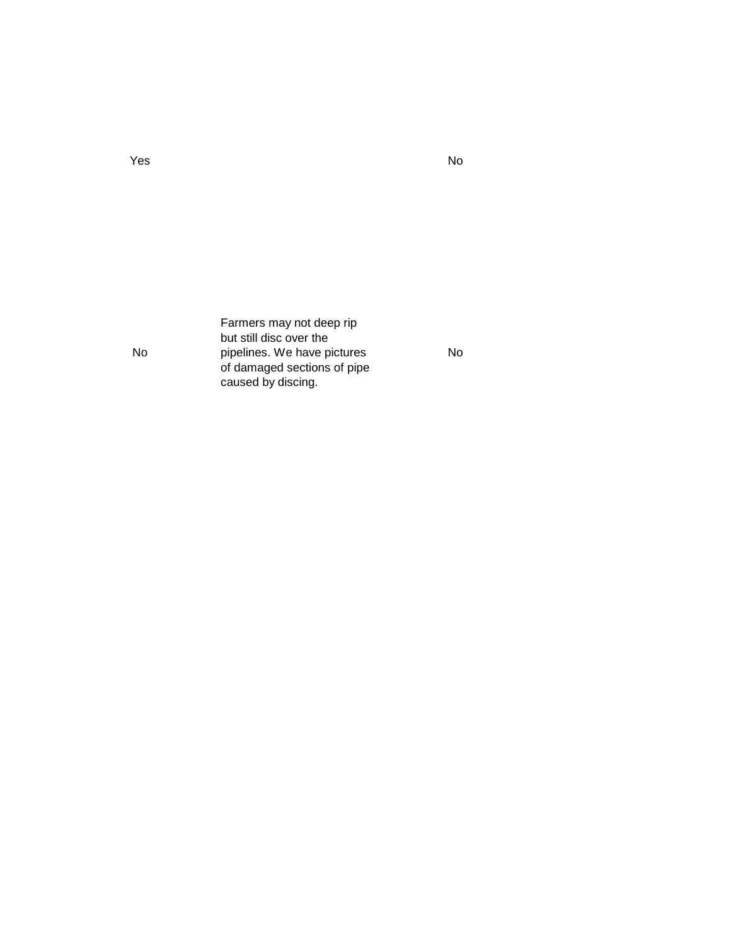Farmers may not deep rip but still disc over the pipelines. We have pictures of damaged sections of pipe caused by discing.

No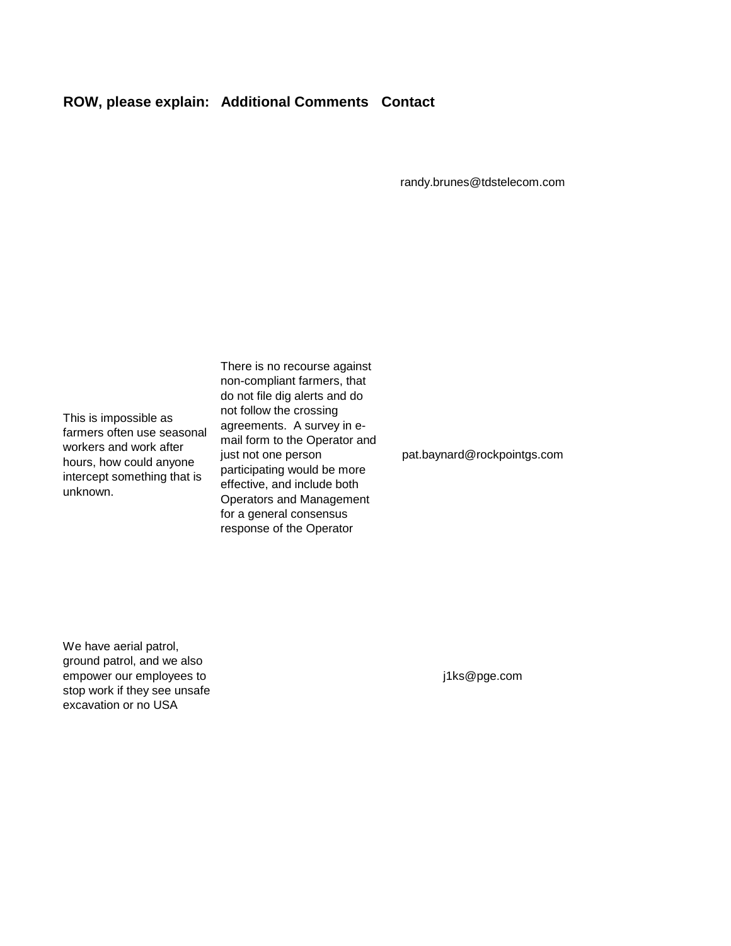## **ROW, please explain: Additional Comments Contact**

randy.brunes@tdstelecom.com

This is impossible as farmers often use seasonal workers and work after hours, how could anyone intercept something that is unknown.

There is no recourse against non-compliant farmers, that do not file dig alerts and do not follow the crossing agreements. A survey in email form to the Operator and just not one person participating would be more effective, and include both Operators and Management for a general consensus response of the Operator

pat.baynard@rockpointgs.com

We have aerial patrol, ground patrol, and we also empower our employees to stop work if they see unsafe excavation or no USA

j1ks@pge.com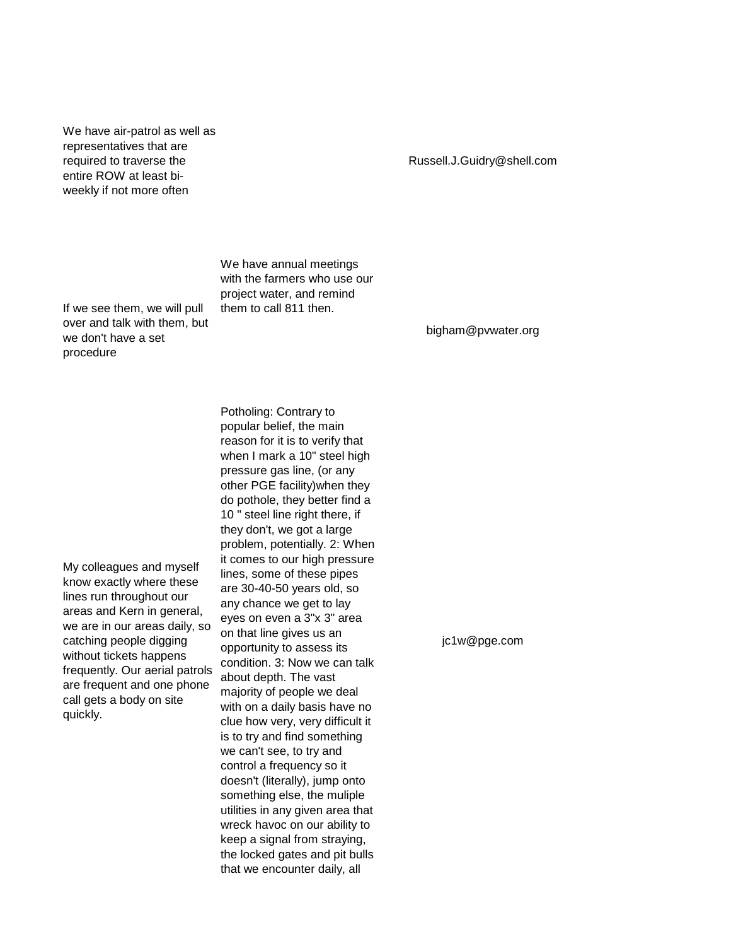We have air-patrol as well as representatives that are required to traverse the entire ROW at least biweekly if not more often

If we see them, we will pull over and talk with them, but

we don't have a set

procedure

We have annual meetings with the farmers who use our project water, and remind them to call 811 then.

bigham@pvwater.org

My colleagues and myself know exactly where these lines run throughout our areas and Kern in general, we are in our areas daily, so catching people digging without tickets happens frequently. Our aerial patrols are frequent and one phone call gets a body on site quickly.

Potholing: Contrary to popular belief, the main reason for it is to verify that when I mark a 10" steel high pressure gas line, (or any other PGE facility)when they do pothole, they better find a 10 " steel line right there, if they don't, we got a large problem, potentially. 2: When it comes to our high pressure lines, some of these pipes are 30-40-50 years old, so any chance we get to lay eyes on even a 3"x 3" area on that line gives us an opportunity to assess its condition. 3: Now we can talk about depth. The vast majority of people we deal with on a daily basis have no clue how very, very difficult it is to try and find something we can't see, to try and control a frequency so it doesn't (literally), jump onto something else, the muliple utilities in any given area that wreck havoc on our ability to keep a signal from straying, the locked gates and pit bulls that we encounter daily, all

jc1w@pge.com

## Russell.J.Guidry@shell.com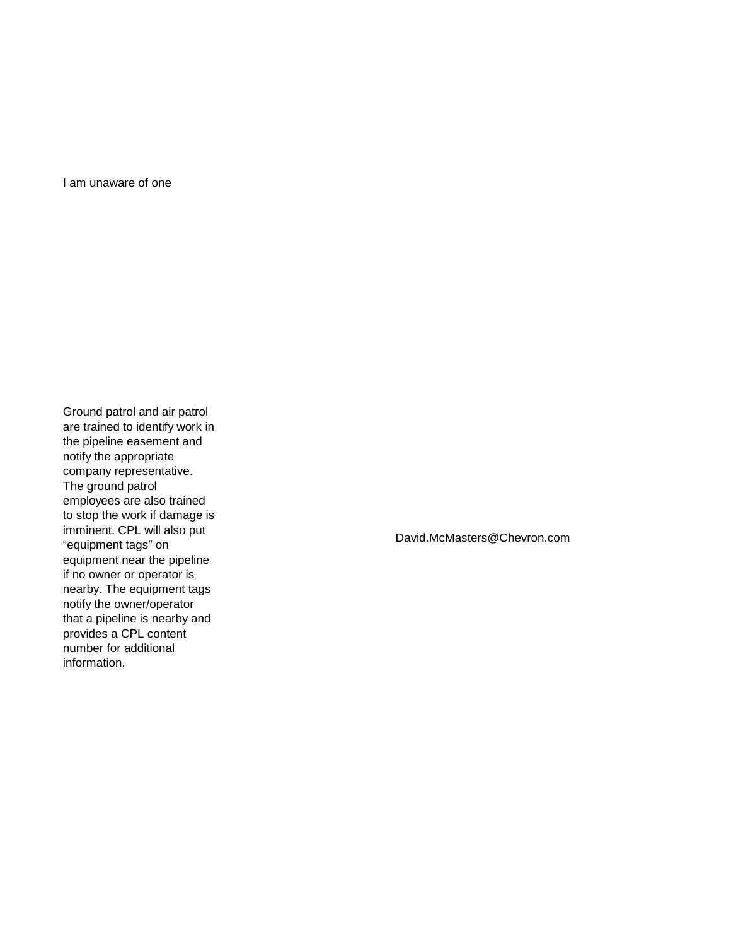I am unaware of one

Ground patrol and air patrol are trained to identify work in the pipeline easement and notify the appropriate company representative. The ground patrol employees are also trained to stop the work if damage is imminent. CPL will also put "equipment tags" on equipment near the pipeline if no owner or operator is nearby. The equipment tags notify the owner/operator that a pipeline is nearby and provides a CPL content number for additional information.

David.McMasters@Chevron.com